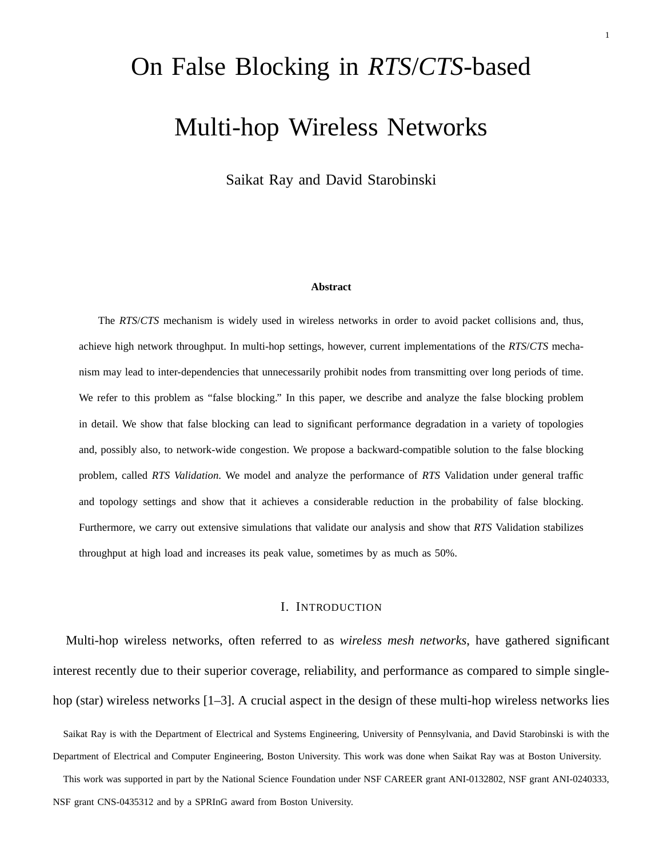# On False Blocking in *RTS*/*CTS*-based Multi-hop Wireless Networks

Saikat Ray and David Starobinski

#### **Abstract**

The *RTS*/*CTS* mechanism is widely used in wireless networks in order to avoid packet collisions and, thus, achieve high network throughput. In multi-hop settings, however, current implementations of the *RTS*/*CTS* mechanism may lead to inter-dependencies that unnecessarily prohibit nodes from transmitting over long periods of time. We refer to this problem as "false blocking." In this paper, we describe and analyze the false blocking problem in detail. We show that false blocking can lead to significant performance degradation in a variety of topologies and, possibly also, to network-wide congestion. We propose a backward-compatible solution to the false blocking problem, called *RTS Validation*. We model and analyze the performance of *RTS* Validation under general traffic and topology settings and show that it achieves a considerable reduction in the probability of false blocking. Furthermore, we carry out extensive simulations that validate our analysis and show that *RTS* Validation stabilizes throughput at high load and increases its peak value, sometimes by as much as 50%.

# I. INTRODUCTION

Multi-hop wireless networks, often referred to as *wireless mesh networks*, have gathered significant interest recently due to their superior coverage, reliability, and performance as compared to simple singlehop (star) wireless networks [1–3]. A crucial aspect in the design of these multi-hop wireless networks lies

Saikat Ray is with the Department of Electrical and Systems Engineering, University of Pennsylvania, and David Starobinski is with the Department of Electrical and Computer Engineering, Boston University. This work was done when Saikat Ray was at Boston University.

This work was supported in part by the National Science Foundation under NSF CAREER grant ANI-0132802, NSF grant ANI-0240333, NSF grant CNS-0435312 and by a SPRInG award from Boston University.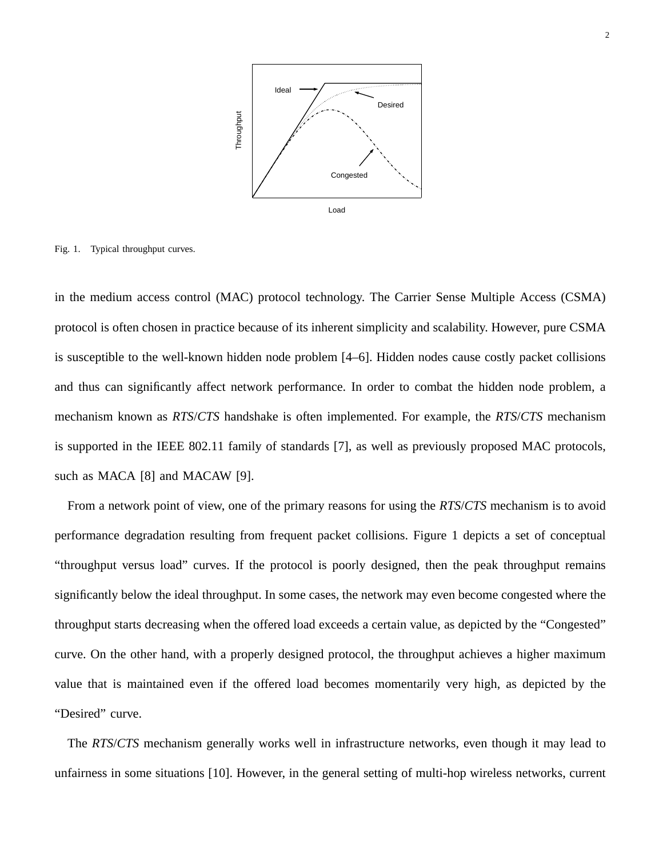

Fig. 1. Typical throughput curves.

in the medium access control (MAC) protocol technology. The Carrier Sense Multiple Access (CSMA) protocol is often chosen in practice because of its inherent simplicity and scalability. However, pure CSMA is susceptible to the well-known hidden node problem [4–6]. Hidden nodes cause costly packet collisions and thus can significantly affect network performance. In order to combat the hidden node problem, a mechanism known as *RTS*/*CTS* handshake is often implemented. For example, the *RTS*/*CTS* mechanism is supported in the IEEE 802.11 family of standards [7], as well as previously proposed MAC protocols, such as MACA [8] and MACAW [9].

From a network point of view, one of the primary reasons for using the *RTS*/*CTS* mechanism is to avoid performance degradation resulting from frequent packet collisions. Figure 1 depicts a set of conceptual "throughput versus load" curves. If the protocol is poorly designed, then the peak throughput remains significantly below the ideal throughput. In some cases, the network may even become congested where the throughput starts decreasing when the offered load exceeds a certain value, as depicted by the "Congested" curve. On the other hand, with a properly designed protocol, the throughput achieves a higher maximum value that is maintained even if the offered load becomes momentarily very high, as depicted by the "Desired" curve.

The *RTS*/*CTS* mechanism generally works well in infrastructure networks, even though it may lead to unfairness in some situations [10]. However, in the general setting of multi-hop wireless networks, current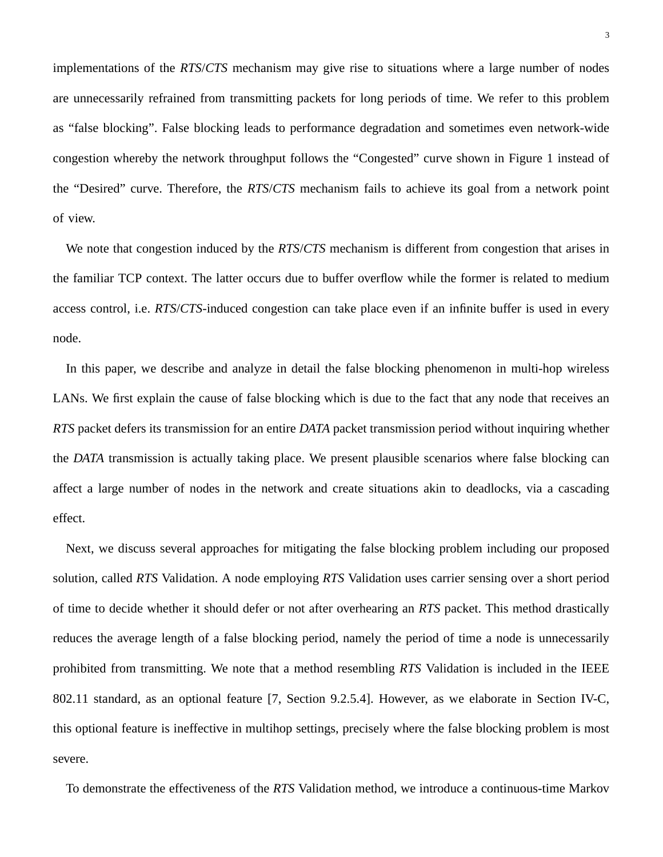implementations of the *RTS*/*CTS* mechanism may give rise to situations where a large number of nodes are unnecessarily refrained from transmitting packets for long periods of time. We refer to this problem as "false blocking". False blocking leads to performance degradation and sometimes even network-wide congestion whereby the network throughput follows the "Congested" curve shown in Figure 1 instead of the "Desired" curve. Therefore, the *RTS*/*CTS* mechanism fails to achieve its goal from a network point of view.

We note that congestion induced by the *RTS*/*CTS* mechanism is different from congestion that arises in the familiar TCP context. The latter occurs due to buffer overflow while the former is related to medium access control, i.e. *RTS*/*CTS*-induced congestion can take place even if an infinite buffer is used in every node.

In this paper, we describe and analyze in detail the false blocking phenomenon in multi-hop wireless LANs. We first explain the cause of false blocking which is due to the fact that any node that receives an *RTS* packet defers its transmission for an entire *DATA* packet transmission period without inquiring whether the *DATA* transmission is actually taking place. We present plausible scenarios where false blocking can affect a large number of nodes in the network and create situations akin to deadlocks, via a cascading effect.

Next, we discuss several approaches for mitigating the false blocking problem including our proposed solution, called *RTS* Validation. A node employing *RTS* Validation uses carrier sensing over a short period of time to decide whether it should defer or not after overhearing an *RTS* packet. This method drastically reduces the average length of a false blocking period, namely the period of time a node is unnecessarily prohibited from transmitting. We note that a method resembling *RTS* Validation is included in the IEEE 802.11 standard, as an optional feature [7, Section 9.2.5.4]. However, as we elaborate in Section IV-C, this optional feature is ineffective in multihop settings, precisely where the false blocking problem is most severe.

To demonstrate the effectiveness of the *RTS* Validation method, we introduce a continuous-time Markov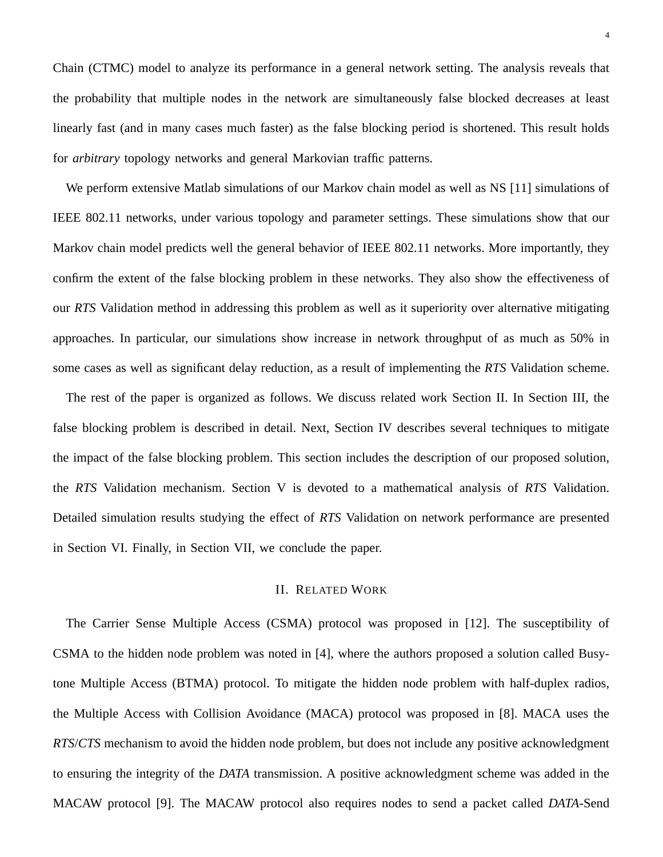Chain (CTMC) model to analyze its performance in a general network setting. The analysis reveals that the probability that multiple nodes in the network are simultaneously false blocked decreases at least linearly fast (and in many cases much faster) as the false blocking period is shortened. This result holds for *arbitrary* topology networks and general Markovian traffic patterns.

We perform extensive Matlab simulations of our Markov chain model as well as NS [11] simulations of IEEE 802.11 networks, under various topology and parameter settings. These simulations show that our Markov chain model predicts well the general behavior of IEEE 802.11 networks. More importantly, they confirm the extent of the false blocking problem in these networks. They also show the effectiveness of our *RTS* Validation method in addressing this problem as well as it superiority over alternative mitigating approaches. In particular, our simulations show increase in network throughput of as much as 50% in some cases as well as significant delay reduction, as a result of implementing the *RTS* Validation scheme.

The rest of the paper is organized as follows. We discuss related work Section II. In Section III, the false blocking problem is described in detail. Next, Section IV describes several techniques to mitigate the impact of the false blocking problem. This section includes the description of our proposed solution, the *RTS* Validation mechanism. Section V is devoted to a mathematical analysis of *RTS* Validation. Detailed simulation results studying the effect of *RTS* Validation on network performance are presented in Section VI. Finally, in Section VII, we conclude the paper.

# II. RELATED WORK

The Carrier Sense Multiple Access (CSMA) protocol was proposed in [12]. The susceptibility of CSMA to the hidden node problem was noted in [4], where the authors proposed a solution called Busytone Multiple Access (BTMA) protocol. To mitigate the hidden node problem with half-duplex radios, the Multiple Access with Collision Avoidance (MACA) protocol was proposed in [8]. MACA uses the *RTS*/*CTS* mechanism to avoid the hidden node problem, but does not include any positive acknowledgment to ensuring the integrity of the *DATA* transmission. A positive acknowledgment scheme was added in the MACAW protocol [9]. The MACAW protocol also requires nodes to send a packet called *DATA*-Send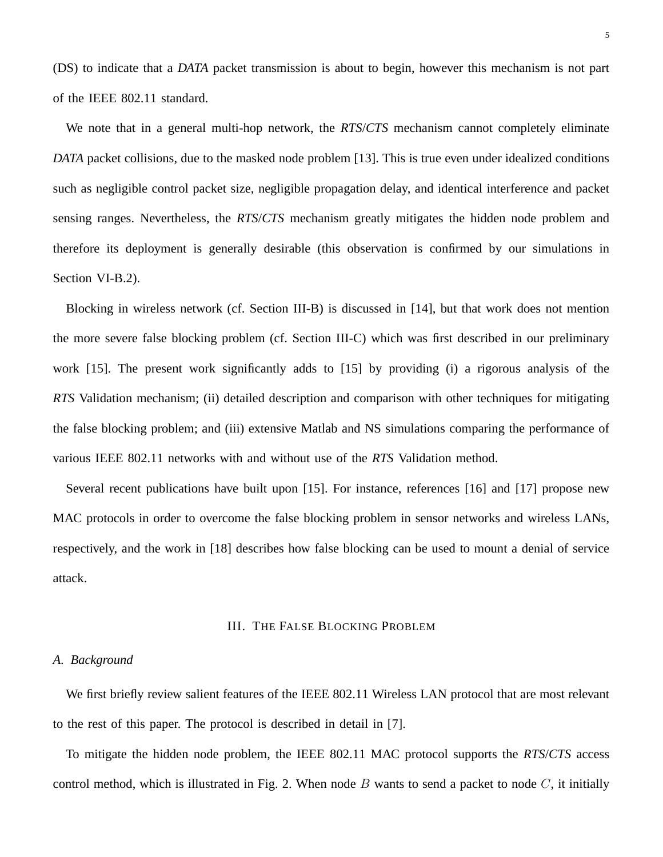(DS) to indicate that a *DATA* packet transmission is about to begin, however this mechanism is not part of the IEEE 802.11 standard.

We note that in a general multi-hop network, the *RTS*/*CTS* mechanism cannot completely eliminate *DATA* packet collisions, due to the masked node problem [13]. This is true even under idealized conditions such as negligible control packet size, negligible propagation delay, and identical interference and packet sensing ranges. Nevertheless, the *RTS*/*CTS* mechanism greatly mitigates the hidden node problem and therefore its deployment is generally desirable (this observation is confirmed by our simulations in Section VI-B.2).

Blocking in wireless network (cf. Section III-B) is discussed in [14], but that work does not mention the more severe false blocking problem (cf. Section III-C) which was first described in our preliminary work [15]. The present work significantly adds to [15] by providing (i) a rigorous analysis of the *RTS* Validation mechanism; (ii) detailed description and comparison with other techniques for mitigating the false blocking problem; and (iii) extensive Matlab and NS simulations comparing the performance of various IEEE 802.11 networks with and without use of the *RTS* Validation method.

Several recent publications have built upon [15]. For instance, references [16] and [17] propose new MAC protocols in order to overcome the false blocking problem in sensor networks and wireless LANs, respectively, and the work in [18] describes how false blocking can be used to mount a denial of service attack.

# III. THE FALSE BLOCKING PROBLEM

# *A. Background*

We first briefly review salient features of the IEEE 802.11 Wireless LAN protocol that are most relevant to the rest of this paper. The protocol is described in detail in [7].

To mitigate the hidden node problem, the IEEE 802.11 MAC protocol supports the *RTS*/*CTS* access control method, which is illustrated in Fig. 2. When node  $B$  wants to send a packet to node  $C$ , it initially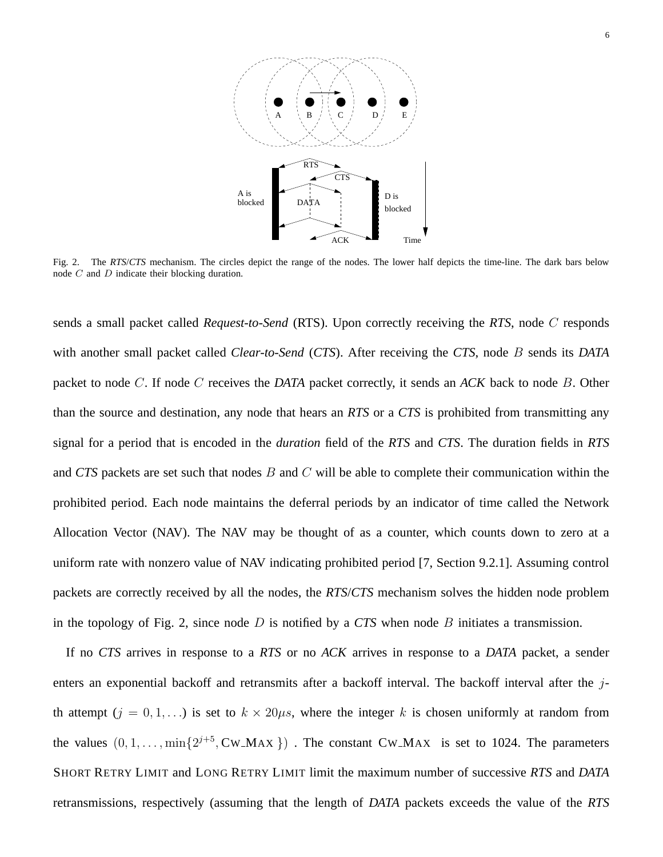

Fig. 2. The *RTS*/*CTS* mechanism. The circles depict the range of the nodes. The lower half depicts the time-line. The dark bars below node C and D indicate their blocking duration.

sends a small packet called *Request-to-Send* (RTS). Upon correctly receiving the *RTS*, node C responds with another small packet called *Clear-to-Send* (*CTS*). After receiving the *CTS*, node B sends its *DATA* packet to node C. If node C receives the *DATA* packet correctly, it sends an *ACK* back to node B. Other than the source and destination, any node that hears an *RTS* or a *CTS* is prohibited from transmitting any signal for a period that is encoded in the *duration* field of the *RTS* and *CTS*. The duration fields in *RTS* and *CTS* packets are set such that nodes B and C will be able to complete their communication within the prohibited period. Each node maintains the deferral periods by an indicator of time called the Network Allocation Vector (NAV). The NAV may be thought of as a counter, which counts down to zero at a uniform rate with nonzero value of NAV indicating prohibited period [7, Section 9.2.1]. Assuming control packets are correctly received by all the nodes, the *RTS*/*CTS* mechanism solves the hidden node problem in the topology of Fig. 2, since node D is notified by a *CTS* when node B initiates a transmission.

If no *CTS* arrives in response to a *RTS* or no *ACK* arrives in response to a *DATA* packet, a sender enters an exponential backoff and retransmits after a backoff interval. The backoff interval after the  $j$ th attempt  $(j = 0, 1, ...)$  is set to  $k \times 20\mu s$ , where the integer k is chosen uniformly at random from the values  $(0, 1, \ldots, \min\{2^{j+5}, \text{CW\_MAX}\})$ . The constant CW\_MAX is set to 1024. The parameters SHORT RETRY LIMIT and LONG RETRY LIMIT limit the maximum number of successive *RTS* and *DATA* retransmissions, respectively (assuming that the length of *DATA* packets exceeds the value of the *RTS*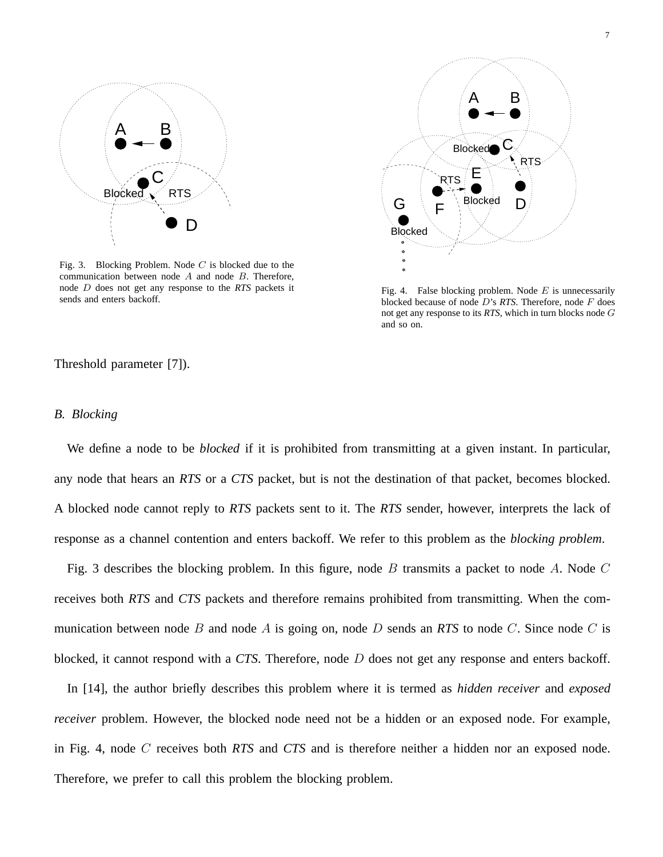

Fig. 3. Blocking Problem. Node  $C$  is blocked due to the communication between node  $A$  and node  $B$ . Therefore, node D does not get any response to the *RTS* packets it sends and enters backoff.

![](_page_6_Figure_3.jpeg)

Fig. 4. False blocking problem. Node  $E$  is unnecessarily blocked because of node D's *RTS*. Therefore, node F does not get any response to its *RTS*, which in turn blocks node G and so on.

Threshold parameter [7]).

#### *B. Blocking*

We define a node to be *blocked* if it is prohibited from transmitting at a given instant. In particular, any node that hears an *RTS* or a *CTS* packet, but is not the destination of that packet, becomes blocked. A blocked node cannot reply to *RTS* packets sent to it. The *RTS* sender, however, interprets the lack of response as a channel contention and enters backoff. We refer to this problem as the *blocking problem*.

Fig. 3 describes the blocking problem. In this figure, node B transmits a packet to node A. Node  $C$ receives both *RTS* and *CTS* packets and therefore remains prohibited from transmitting. When the communication between node B and node A is going on, node D sends an *RTS* to node C. Since node C is blocked, it cannot respond with a *CTS*. Therefore, node D does not get any response and enters backoff.

In [14], the author briefly describes this problem where it is termed as *hidden receiver* and *exposed receiver* problem. However, the blocked node need not be a hidden or an exposed node. For example, in Fig. 4, node C receives both *RTS* and *CTS* and is therefore neither a hidden nor an exposed node. Therefore, we prefer to call this problem the blocking problem.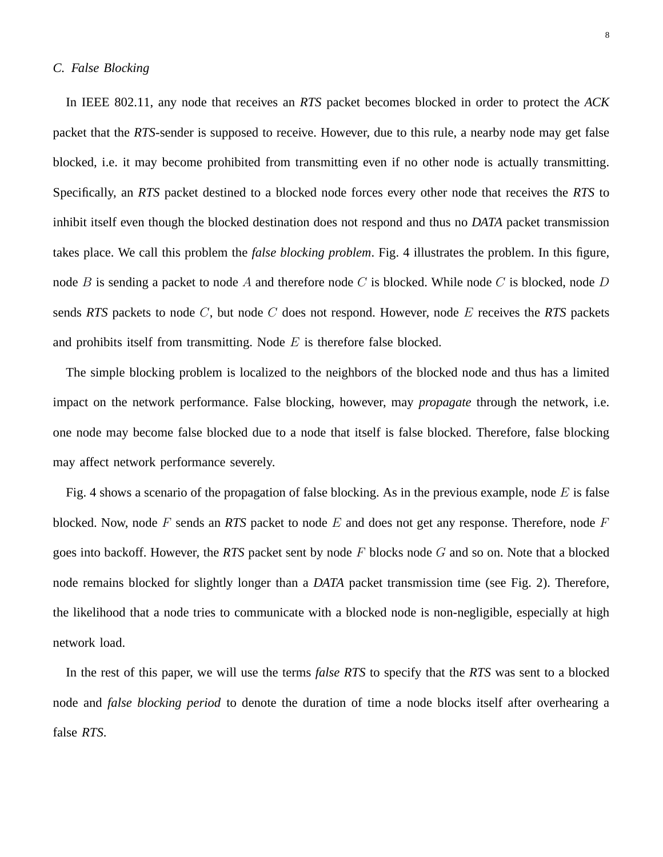# *C. False Blocking*

In IEEE 802.11, any node that receives an *RTS* packet becomes blocked in order to protect the *ACK* packet that the *RTS*-sender is supposed to receive. However, due to this rule, a nearby node may get false blocked, i.e. it may become prohibited from transmitting even if no other node is actually transmitting. Specifically, an *RTS* packet destined to a blocked node forces every other node that receives the *RTS* to inhibit itself even though the blocked destination does not respond and thus no *DATA* packet transmission takes place. We call this problem the *false blocking problem*. Fig. 4 illustrates the problem. In this figure, node B is sending a packet to node A and therefore node C is blocked. While node C is blocked, node D sends *RTS* packets to node C, but node C does not respond. However, node E receives the *RTS* packets and prohibits itself from transmitting. Node  $E$  is therefore false blocked.

The simple blocking problem is localized to the neighbors of the blocked node and thus has a limited impact on the network performance. False blocking, however, may *propagate* through the network, i.e. one node may become false blocked due to a node that itself is false blocked. Therefore, false blocking may affect network performance severely.

Fig. 4 shows a scenario of the propagation of false blocking. As in the previous example, node  $E$  is false blocked. Now, node F sends an *RTS* packet to node E and does not get any response. Therefore, node F goes into backoff. However, the *RTS* packet sent by node F blocks node G and so on. Note that a blocked node remains blocked for slightly longer than a *DATA* packet transmission time (see Fig. 2). Therefore, the likelihood that a node tries to communicate with a blocked node is non-negligible, especially at high network load.

In the rest of this paper, we will use the terms *false RTS* to specify that the *RTS* was sent to a blocked node and *false blocking period* to denote the duration of time a node blocks itself after overhearing a false *RTS*.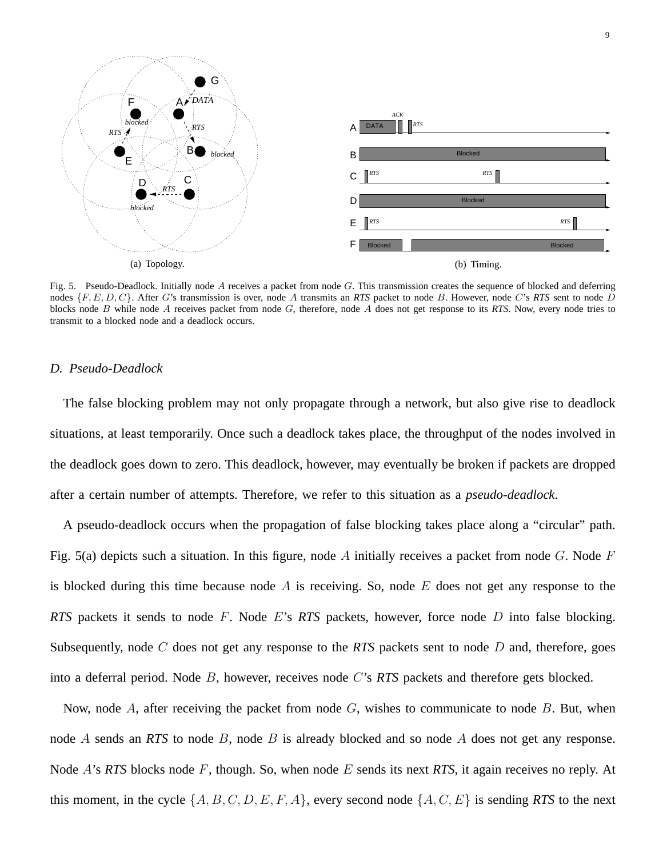![](_page_8_Figure_0.jpeg)

Fig. 5. Pseudo-Deadlock. Initially node  $A$  receives a packet from node  $G$ . This transmission creates the sequence of blocked and deferring nodes {F, E, D, C}. After G's transmission is over, node A transmits an *RTS* packet to node B. However, node C's *RTS* sent to node D blocks node B while node A receives packet from node G, therefore, node A does not get response to its *RTS*. Now, every node tries to transmit to a blocked node and a deadlock occurs.

# *D. Pseudo-Deadlock*

The false blocking problem may not only propagate through a network, but also give rise to deadlock situations, at least temporarily. Once such a deadlock takes place, the throughput of the nodes involved in the deadlock goes down to zero. This deadlock, however, may eventually be broken if packets are dropped after a certain number of attempts. Therefore, we refer to this situation as a *pseudo-deadlock*.

A pseudo-deadlock occurs when the propagation of false blocking takes place along a "circular" path. Fig. 5(a) depicts such a situation. In this figure, node A initially receives a packet from node G. Node  $F$ is blocked during this time because node  $A$  is receiving. So, node  $E$  does not get any response to the *RTS* packets it sends to node F. Node E's *RTS* packets, however, force node D into false blocking. Subsequently, node C does not get any response to the *RTS* packets sent to node D and, therefore, goes into a deferral period. Node B, however, receives node C's *RTS* packets and therefore gets blocked.

Now, node A, after receiving the packet from node  $G$ , wishes to communicate to node  $B$ . But, when node A sends an *RTS* to node B, node B is already blocked and so node A does not get any response. Node A's *RTS* blocks node F, though. So, when node E sends its next *RTS*, it again receives no reply. At this moment, in the cycle  $\{A, B, C, D, E, F, A\}$ , every second node  $\{A, C, E\}$  is sending *RTS* to the next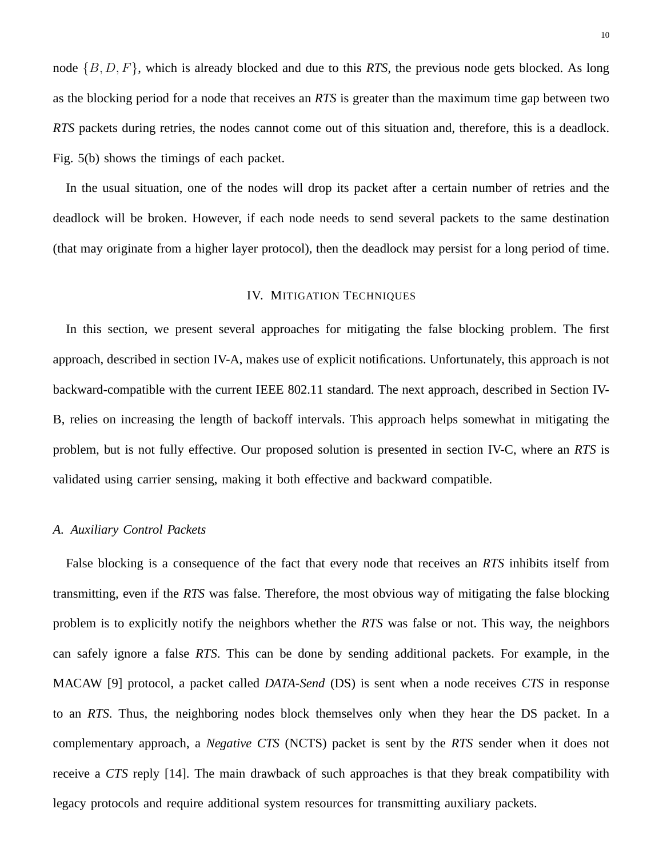node {B, D, F}, which is already blocked and due to this *RTS*, the previous node gets blocked. As long as the blocking period for a node that receives an *RTS* is greater than the maximum time gap between two *RTS* packets during retries, the nodes cannot come out of this situation and, therefore, this is a deadlock. Fig. 5(b) shows the timings of each packet.

In the usual situation, one of the nodes will drop its packet after a certain number of retries and the deadlock will be broken. However, if each node needs to send several packets to the same destination (that may originate from a higher layer protocol), then the deadlock may persist for a long period of time.

#### IV. MITIGATION TECHNIQUES

In this section, we present several approaches for mitigating the false blocking problem. The first approach, described in section IV-A, makes use of explicit notifications. Unfortunately, this approach is not backward-compatible with the current IEEE 802.11 standard. The next approach, described in Section IV-B, relies on increasing the length of backoff intervals. This approach helps somewhat in mitigating the problem, but is not fully effective. Our proposed solution is presented in section IV-C, where an *RTS* is validated using carrier sensing, making it both effective and backward compatible.

# *A. Auxiliary Control Packets*

False blocking is a consequence of the fact that every node that receives an *RTS* inhibits itself from transmitting, even if the *RTS* was false. Therefore, the most obvious way of mitigating the false blocking problem is to explicitly notify the neighbors whether the *RTS* was false or not. This way, the neighbors can safely ignore a false *RTS*. This can be done by sending additional packets. For example, in the MACAW [9] protocol, a packet called *DATA-Send* (DS) is sent when a node receives *CTS* in response to an *RTS*. Thus, the neighboring nodes block themselves only when they hear the DS packet. In a complementary approach, a *Negative CTS* (NCTS) packet is sent by the *RTS* sender when it does not receive a *CTS* reply [14]. The main drawback of such approaches is that they break compatibility with legacy protocols and require additional system resources for transmitting auxiliary packets.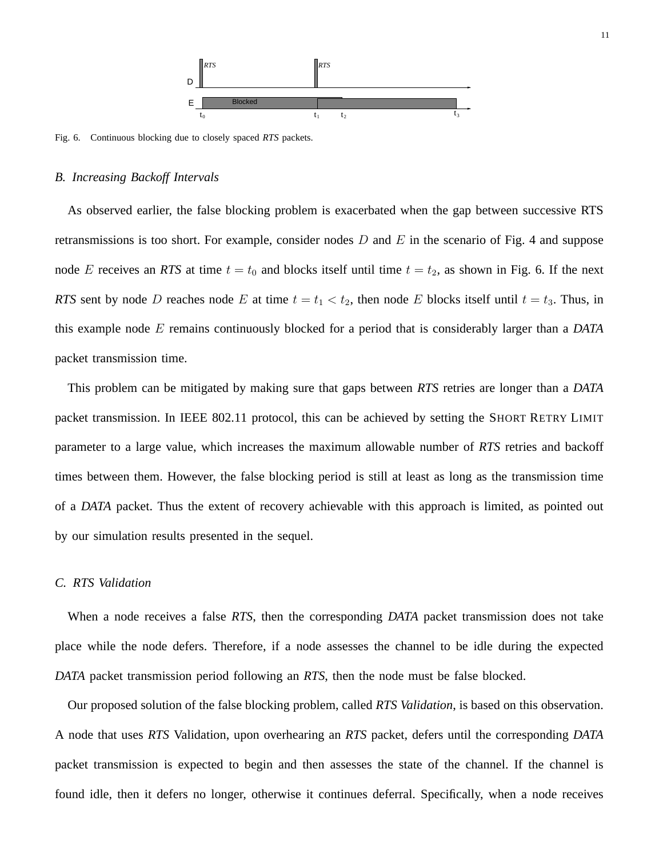![](_page_10_Figure_0.jpeg)

Fig. 6. Continuous blocking due to closely spaced *RTS* packets.

#### *B. Increasing Backoff Intervals*

As observed earlier, the false blocking problem is exacerbated when the gap between successive RTS retransmissions is too short. For example, consider nodes  $D$  and  $E$  in the scenario of Fig. 4 and suppose node E receives an *RTS* at time  $t = t_0$  and blocks itself until time  $t = t_2$ , as shown in Fig. 6. If the next *RTS* sent by node D reaches node E at time  $t = t_1 < t_2$ , then node E blocks itself until  $t = t_3$ . Thus, in this example node E remains continuously blocked for a period that is considerably larger than a *DATA* packet transmission time.

This problem can be mitigated by making sure that gaps between *RTS* retries are longer than a *DATA* packet transmission. In IEEE 802.11 protocol, this can be achieved by setting the SHORT RETRY LIMIT parameter to a large value, which increases the maximum allowable number of *RTS* retries and backoff times between them. However, the false blocking period is still at least as long as the transmission time of a *DATA* packet. Thus the extent of recovery achievable with this approach is limited, as pointed out by our simulation results presented in the sequel.

# *C. RTS Validation*

When a node receives a false *RTS*, then the corresponding *DATA* packet transmission does not take place while the node defers. Therefore, if a node assesses the channel to be idle during the expected *DATA* packet transmission period following an *RTS*, then the node must be false blocked.

Our proposed solution of the false blocking problem, called *RTS Validation*, is based on this observation. A node that uses *RTS* Validation, upon overhearing an *RTS* packet, defers until the corresponding *DATA* packet transmission is expected to begin and then assesses the state of the channel. If the channel is found idle, then it defers no longer, otherwise it continues deferral. Specifically, when a node receives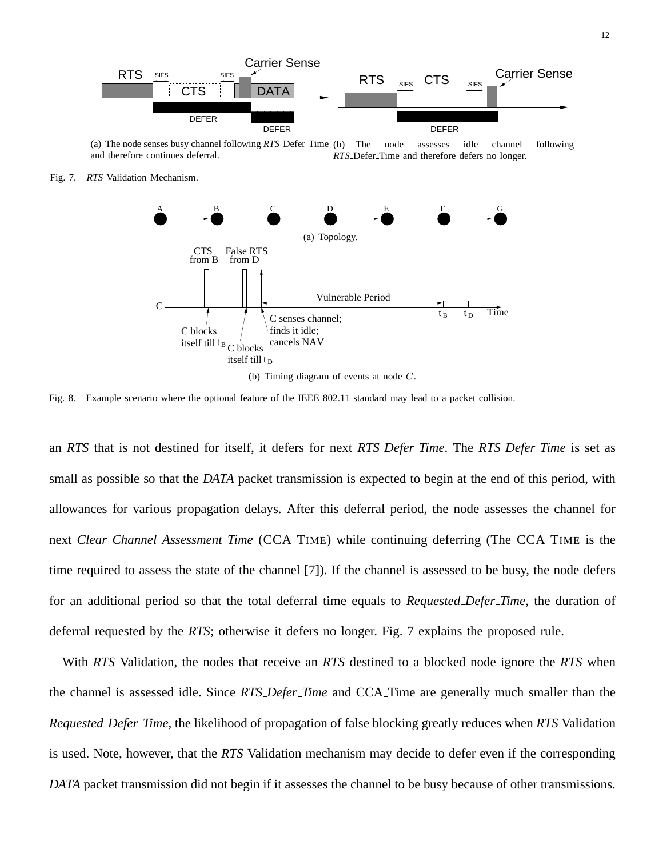![](_page_11_Figure_0.jpeg)

(a) The node senses busy channel following *RTS* Defer Time and therefore continues deferral. The node assesses idle channel following *RTS* Defer Time and therefore defers no longer.

Fig. 7. *RTS* Validation Mechanism.

![](_page_11_Figure_3.jpeg)

Fig. 8. Example scenario where the optional feature of the IEEE 802.11 standard may lead to a packet collision.

an *RTS* that is not destined for itself, it defers for next *RTS Defer Time*. The *RTS Defer Time* is set as small as possible so that the *DATA* packet transmission is expected to begin at the end of this period, with allowances for various propagation delays. After this deferral period, the node assesses the channel for next *Clear Channel Assessment Time* (CCA TIME) while continuing deferring (The CCA TIME is the time required to assess the state of the channel [7]). If the channel is assessed to be busy, the node defers for an additional period so that the total deferral time equals to *Requested Defer Time*, the duration of deferral requested by the *RTS*; otherwise it defers no longer. Fig. 7 explains the proposed rule.

With *RTS* Validation, the nodes that receive an *RTS* destined to a blocked node ignore the *RTS* when the channel is assessed idle. Since *RTS Defer Time* and CCA Time are generally much smaller than the *Requested Defer Time*, the likelihood of propagation of false blocking greatly reduces when *RTS* Validation is used. Note, however, that the *RTS* Validation mechanism may decide to defer even if the corresponding *DATA* packet transmission did not begin if it assesses the channel to be busy because of other transmissions.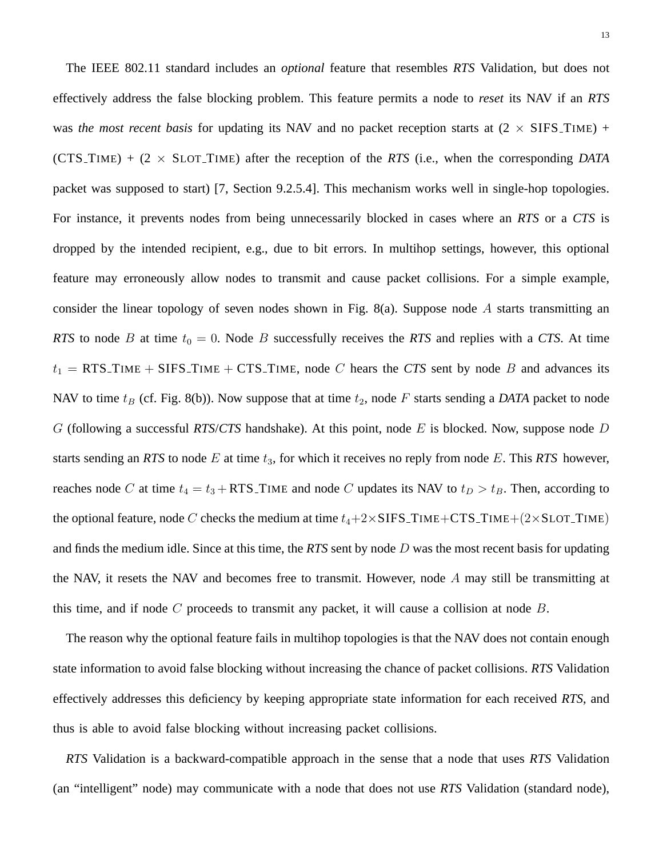The IEEE 802.11 standard includes an *optional* feature that resembles *RTS* Validation, but does not effectively address the false blocking problem. This feature permits a node to *reset* its NAV if an *RTS* was *the most recent basis* for updating its NAV and no packet reception starts at  $(2 \times SIFS\_TIME)$  +  $(CTS\_TIME) + (2 \times SLOT\_TIME)$  after the reception of the *RTS* (i.e., when the corresponding *DATA* packet was supposed to start) [7, Section 9.2.5.4]. This mechanism works well in single-hop topologies. For instance, it prevents nodes from being unnecessarily blocked in cases where an *RTS* or a *CTS* is dropped by the intended recipient, e.g., due to bit errors. In multihop settings, however, this optional feature may erroneously allow nodes to transmit and cause packet collisions. For a simple example, consider the linear topology of seven nodes shown in Fig. 8(a). Suppose node  $\Lambda$  starts transmitting an *RTS* to node *B* at time  $t_0 = 0$ . Node *B* successfully receives the *RTS* and replies with a *CTS*. At time  $t_1$  = RTS\_TIME + SIFS\_TIME + CTS\_TIME, node C hears the CTS sent by node B and advances its NAV to time  $t_B$  (cf. Fig. 8(b)). Now suppose that at time  $t_2$ , node F starts sending a *DATA* packet to node G (following a successful *RTS*/*CTS* handshake). At this point, node E is blocked. Now, suppose node D starts sending an *RTS* to node  $E$  at time  $t_3$ , for which it receives no reply from node  $E$ . This *RTS* however, reaches node C at time  $t_4 = t_3 + RTS$  TIME and node C updates its NAV to  $t_D > t_B$ . Then, according to the optional feature, node C checks the medium at time  $t_4+2\times$  SIFS\_TIME+CTS\_TIME+ $(2\times$ SLOT\_TIME) and finds the medium idle. Since at this time, the *RTS* sent by node D was the most recent basis for updating the NAV, it resets the NAV and becomes free to transmit. However, node A may still be transmitting at this time, and if node  $C$  proceeds to transmit any packet, it will cause a collision at node  $B$ .

The reason why the optional feature fails in multihop topologies is that the NAV does not contain enough state information to avoid false blocking without increasing the chance of packet collisions. *RTS* Validation effectively addresses this deficiency by keeping appropriate state information for each received *RTS*, and thus is able to avoid false blocking without increasing packet collisions.

*RTS* Validation is a backward-compatible approach in the sense that a node that uses *RTS* Validation (an "intelligent" node) may communicate with a node that does not use *RTS* Validation (standard node),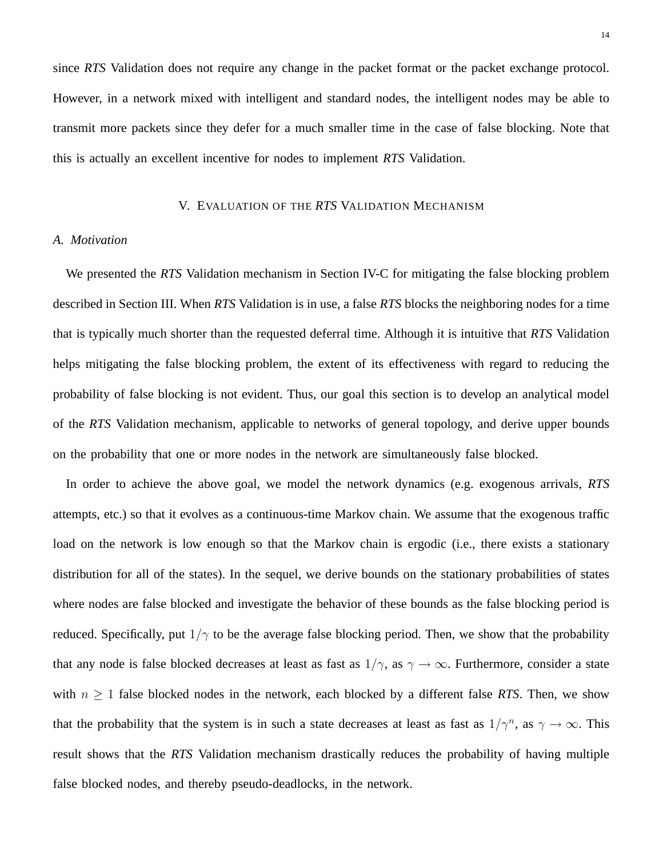since *RTS* Validation does not require any change in the packet format or the packet exchange protocol. However, in a network mixed with intelligent and standard nodes, the intelligent nodes may be able to transmit more packets since they defer for a much smaller time in the case of false blocking. Note that this is actually an excellent incentive for nodes to implement *RTS* Validation.

# V. EVALUATION OF THE *RTS* VALIDATION MECHANISM

# *A. Motivation*

We presented the *RTS* Validation mechanism in Section IV-C for mitigating the false blocking problem described in Section III. When *RTS* Validation is in use, a false *RTS* blocks the neighboring nodes for a time that is typically much shorter than the requested deferral time. Although it is intuitive that *RTS* Validation helps mitigating the false blocking problem, the extent of its effectiveness with regard to reducing the probability of false blocking is not evident. Thus, our goal this section is to develop an analytical model of the *RTS* Validation mechanism, applicable to networks of general topology, and derive upper bounds on the probability that one or more nodes in the network are simultaneously false blocked.

In order to achieve the above goal, we model the network dynamics (e.g. exogenous arrivals, *RTS* attempts, etc.) so that it evolves as a continuous-time Markov chain. We assume that the exogenous traffic load on the network is low enough so that the Markov chain is ergodic (i.e., there exists a stationary distribution for all of the states). In the sequel, we derive bounds on the stationary probabilities of states where nodes are false blocked and investigate the behavior of these bounds as the false blocking period is reduced. Specifically, put  $1/\gamma$  to be the average false blocking period. Then, we show that the probability that any node is false blocked decreases at least as fast as  $1/\gamma$ , as  $\gamma \to \infty$ . Furthermore, consider a state with  $n \geq 1$  false blocked nodes in the network, each blocked by a different false *RTS*. Then, we show that the probability that the system is in such a state decreases at least as fast as  $1/\gamma^n$ , as  $\gamma \to \infty$ . This result shows that the *RTS* Validation mechanism drastically reduces the probability of having multiple false blocked nodes, and thereby pseudo-deadlocks, in the network.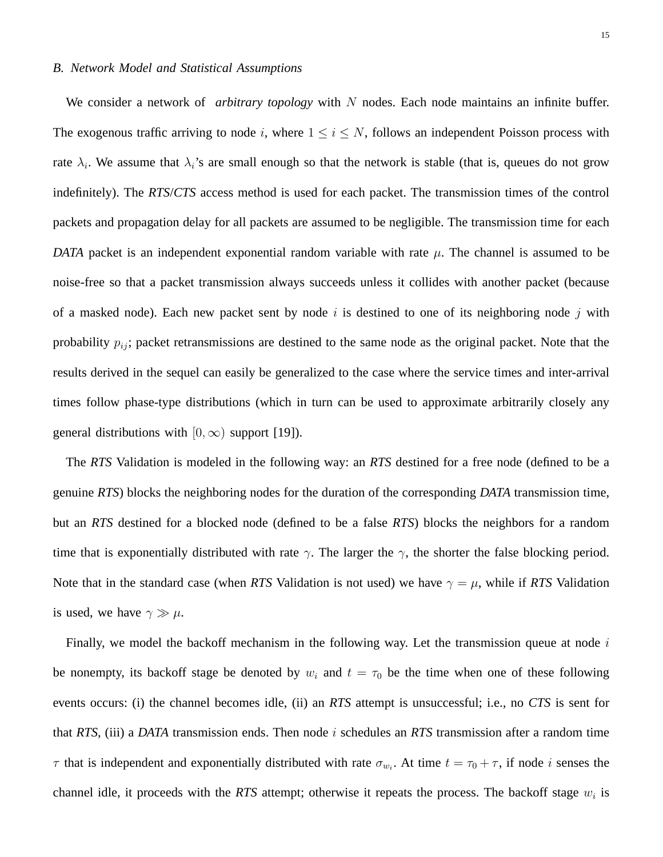#### *B. Network Model and Statistical Assumptions*

We consider a network of *arbitrary topology* with N nodes. Each node maintains an infinite buffer. The exogenous traffic arriving to node i, where  $1 \le i \le N$ , follows an independent Poisson process with rate  $\lambda_i$ . We assume that  $\lambda_i$ 's are small enough so that the network is stable (that is, queues do not grow indefinitely). The *RTS*/*CTS* access method is used for each packet. The transmission times of the control packets and propagation delay for all packets are assumed to be negligible. The transmission time for each *DATA* packet is an independent exponential random variable with rate  $\mu$ . The channel is assumed to be noise-free so that a packet transmission always succeeds unless it collides with another packet (because of a masked node). Each new packet sent by node i is destined to one of its neighboring node j with probability  $p_{ij}$ ; packet retransmissions are destined to the same node as the original packet. Note that the results derived in the sequel can easily be generalized to the case where the service times and inter-arrival times follow phase-type distributions (which in turn can be used to approximate arbitrarily closely any general distributions with  $[0, \infty)$  support [19]).

The *RTS* Validation is modeled in the following way: an *RTS* destined for a free node (defined to be a genuine *RTS*) blocks the neighboring nodes for the duration of the corresponding *DATA* transmission time, but an *RTS* destined for a blocked node (defined to be a false *RTS*) blocks the neighbors for a random time that is exponentially distributed with rate  $\gamma$ . The larger the  $\gamma$ , the shorter the false blocking period. Note that in the standard case (when *RTS* Validation is not used) we have  $\gamma = \mu$ , while if *RTS* Validation is used, we have  $\gamma \gg \mu$ .

Finally, we model the backoff mechanism in the following way. Let the transmission queue at node  $i$ be nonempty, its backoff stage be denoted by  $w_i$  and  $t = \tau_0$  be the time when one of these following events occurs: (i) the channel becomes idle, (ii) an *RTS* attempt is unsuccessful; i.e., no *CTS* is sent for that *RTS*, (iii) a *DATA* transmission ends. Then node i schedules an *RTS* transmission after a random time  $\tau$  that is independent and exponentially distributed with rate  $\sigma_{w_i}$ . At time  $t = \tau_0 + \tau$ , if node *i* senses the channel idle, it proceeds with the *RTS* attempt; otherwise it repeats the process. The backoff stage  $w_i$  is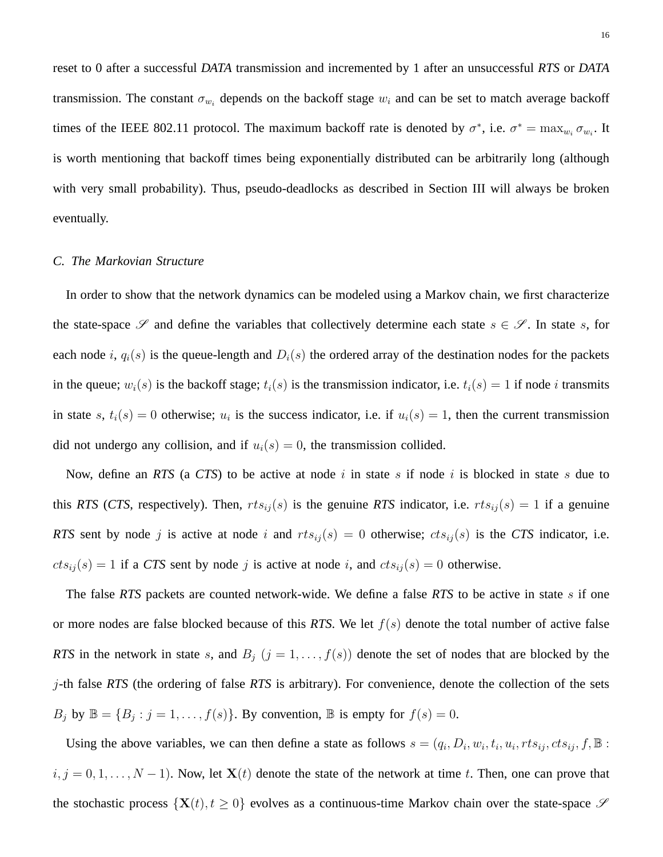reset to 0 after a successful *DATA* transmission and incremented by 1 after an unsuccessful *RTS* or *DATA* transmission. The constant  $\sigma_{w_i}$  depends on the backoff stage  $w_i$  and can be set to match average backoff times of the IEEE 802.11 protocol. The maximum backoff rate is denoted by  $\sigma^*$ , i.e.  $\sigma^* = \max_{w_i} \sigma_{w_i}$ . It is worth mentioning that backoff times being exponentially distributed can be arbitrarily long (although with very small probability). Thus, pseudo-deadlocks as described in Section III will always be broken eventually.

# *C. The Markovian Structure*

In order to show that the network dynamics can be modeled using a Markov chain, we first characterize the state-space  $\mathscr S$  and define the variables that collectively determine each state  $s \in \mathscr S$ . In state s, for each node i,  $q_i(s)$  is the queue-length and  $D_i(s)$  the ordered array of the destination nodes for the packets in the queue;  $w_i(s)$  is the backoff stage;  $t_i(s)$  is the transmission indicator, i.e.  $t_i(s) = 1$  if node *i* transmits in state s,  $t_i(s) = 0$  otherwise;  $u_i$  is the success indicator, i.e. if  $u_i(s) = 1$ , then the current transmission did not undergo any collision, and if  $u_i(s) = 0$ , the transmission collided.

Now, define an *RTS* (a *CTS*) to be active at node i in state s if node i is blocked in state s due to this *RTS* (*CTS*, respectively). Then,  $rts_{ij}(s)$  is the genuine *RTS* indicator, i.e.  $rts_{ij}(s) = 1$  if a genuine *RTS* sent by node j is active at node i and  $rts_{ij}(s) = 0$  otherwise;  $cts_{ij}(s)$  is the *CTS* indicator, i.e.  $cts_{ij}(s) = 1$  if a CTS sent by node j is active at node i, and  $cts_{ij}(s) = 0$  otherwise.

The false *RTS* packets are counted network-wide. We define a false *RTS* to be active in state s if one or more nodes are false blocked because of this *RTS*. We let  $f(s)$  denote the total number of active false *RTS* in the network in state s, and  $B_j$   $(j = 1, ..., f(s))$  denote the set of nodes that are blocked by the j-th false *RTS* (the ordering of false *RTS* is arbitrary). For convenience, denote the collection of the sets  $B_j$  by  $\mathbb{B} = \{B_j : j = 1, \ldots, f(s)\}$ . By convention,  $\mathbb{B}$  is empty for  $f(s) = 0$ .

Using the above variables, we can then define a state as follows  $s = (q_i, D_i, w_i, t_i, u_i, rts_{ij}, cts_{ij}, f, \mathbb{B}$ :  $i, j = 0, 1, \ldots, N - 1$ . Now, let  $X(t)$  denote the state of the network at time t. Then, one can prove that the stochastic process  $\{X(t), t \geq 0\}$  evolves as a continuous-time Markov chain over the state-space  $\mathscr S$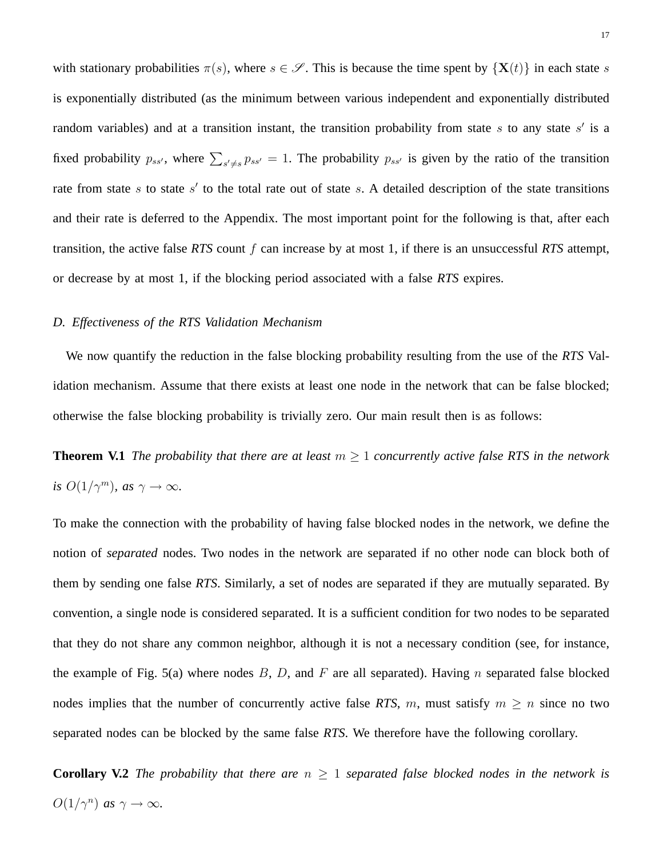with stationary probabilities  $\pi(s)$ , where  $s \in \mathscr{S}$ . This is because the time spent by  $\{X(t)\}\$ in each state s is exponentially distributed (as the minimum between various independent and exponentially distributed random variables) and at a transition instant, the transition probability from state s to any state s' is a fixed probability  $p_{ss}$ , where  $\sum_{s'\neq s} p_{ss'} = 1$ . The probability  $p_{ss'}$  is given by the ratio of the transition rate from state s to state s' to the total rate out of state s. A detailed description of the state transitions and their rate is deferred to the Appendix. The most important point for the following is that, after each transition, the active false *RTS* count f can increase by at most 1, if there is an unsuccessful *RTS* attempt, or decrease by at most 1, if the blocking period associated with a false *RTS* expires.

### *D. Effectiveness of the RTS Validation Mechanism*

We now quantify the reduction in the false blocking probability resulting from the use of the *RTS* Validation mechanism. Assume that there exists at least one node in the network that can be false blocked; otherwise the false blocking probability is trivially zero. Our main result then is as follows:

**Theorem V.1** *The probability that there are at least*  $m \geq 1$  *concurrently active false RTS in the network is*  $O(1/\gamma^m)$ *, as*  $\gamma \to \infty$ *.* 

To make the connection with the probability of having false blocked nodes in the network, we define the notion of *separated* nodes. Two nodes in the network are separated if no other node can block both of them by sending one false *RTS*. Similarly, a set of nodes are separated if they are mutually separated. By convention, a single node is considered separated. It is a sufficient condition for two nodes to be separated that they do not share any common neighbor, although it is not a necessary condition (see, for instance, the example of Fig. 5(a) where nodes  $B, D$ , and F are all separated). Having n separated false blocked nodes implies that the number of concurrently active false *RTS*, m, must satisfy  $m \ge n$  since no two separated nodes can be blocked by the same false *RTS*. We therefore have the following corollary.

**Corollary V.2** *The probability that there are*  $n \geq 1$  *separated false blocked nodes in the network is*  $O(1/\gamma^n)$  *as*  $\gamma \to \infty$ *.*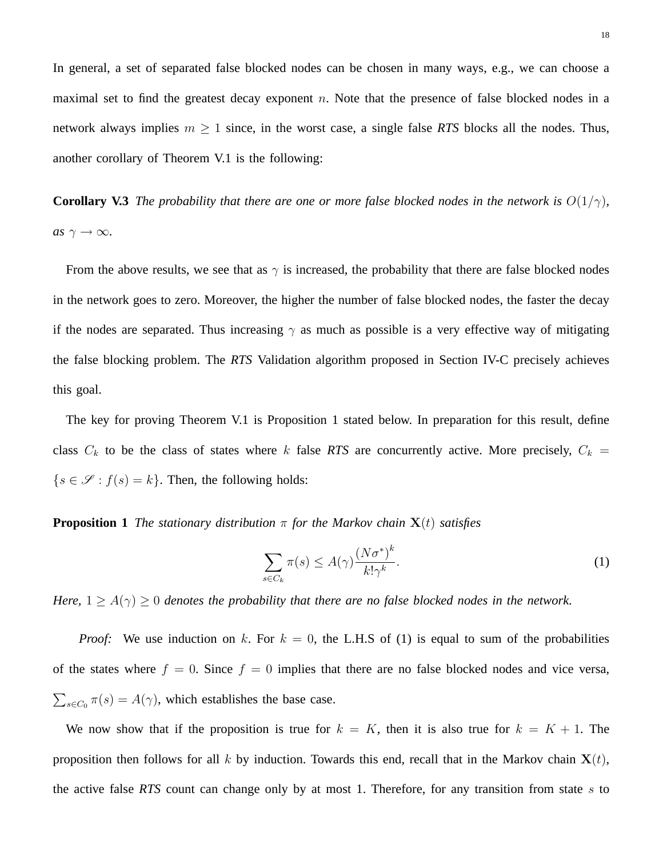In general, a set of separated false blocked nodes can be chosen in many ways, e.g., we can choose a maximal set to find the greatest decay exponent  $n$ . Note that the presence of false blocked nodes in a network always implies  $m \geq 1$  since, in the worst case, a single false *RTS* blocks all the nodes. Thus, another corollary of Theorem V.1 is the following:

**Corollary V.3** *The probability that there are one or more false blocked nodes in the network is*  $O(1/\gamma)$ *, as*  $\gamma \rightarrow \infty$ *.* 

From the above results, we see that as  $\gamma$  is increased, the probability that there are false blocked nodes in the network goes to zero. Moreover, the higher the number of false blocked nodes, the faster the decay if the nodes are separated. Thus increasing  $\gamma$  as much as possible is a very effective way of mitigating the false blocking problem. The *RTS* Validation algorithm proposed in Section IV-C precisely achieves this goal.

The key for proving Theorem V.1 is Proposition 1 stated below. In preparation for this result, define class  $C_k$  to be the class of states where k false RTS are concurrently active. More precisely,  $C_k$  =  $\{s \in \mathcal{S} : f(s) = k\}$ . Then, the following holds:

**Proposition 1** *The stationary distribution*  $\pi$  *for the Markov chain*  $X(t)$  *satisfies* 

$$
\sum_{s \in C_k} \pi(s) \le A(\gamma) \frac{(N\sigma^*)^k}{k! \gamma^k}.
$$
\n(1)

*Here,*  $1 \ge A(\gamma) \ge 0$  *denotes the probability that there are no false blocked nodes in the network.* 

*Proof:* We use induction on k. For  $k = 0$ , the L.H.S of (1) is equal to sum of the probabilities of the states where  $f = 0$ . Since  $f = 0$  implies that there are no false blocked nodes and vice versa,  $\overline{ }$  $s \in C_0$   $\pi(s) = A(\gamma)$ , which establishes the base case.

We now show that if the proposition is true for  $k = K$ , then it is also true for  $k = K + 1$ . The proposition then follows for all k by induction. Towards this end, recall that in the Markov chain  $X(t)$ , the active false *RTS* count can change only by at most 1. Therefore, for any transition from state s to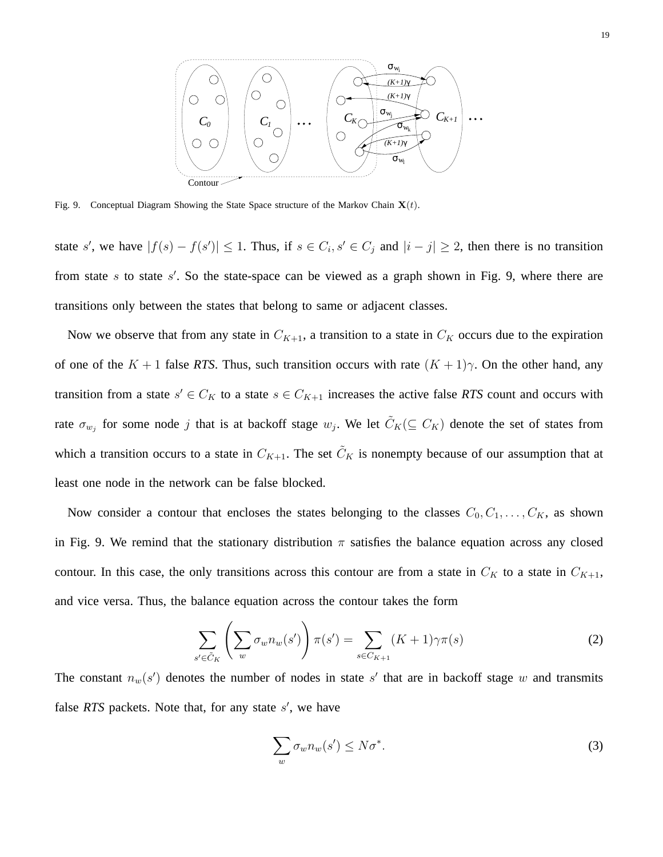![](_page_18_Figure_0.jpeg)

Fig. 9. Conceptual Diagram Showing the State Space structure of the Markov Chain  $X(t)$ .

state s', we have  $|f(s) - f(s')| \le 1$ . Thus, if  $s \in C_i$ ,  $s' \in C_j$  and  $|i - j| \ge 2$ , then there is no transition from state  $s$  to state  $s'$ . So the state-space can be viewed as a graph shown in Fig. 9, where there are transitions only between the states that belong to same or adjacent classes.

Now we observe that from any state in  $C_{K+1}$ , a transition to a state in  $C_K$  occurs due to the expiration of one of the  $K + 1$  false *RTS*. Thus, such transition occurs with rate  $(K + 1)\gamma$ . On the other hand, any transition from a state  $s' \in C_K$  to a state  $s \in C_{K+1}$  increases the active false *RTS* count and occurs with rate  $\sigma_{w_j}$  for some node j that is at backoff stage  $w_j$ . We let  $\tilde{C}_K(\subseteq C_K)$  denote the set of states from which a transition occurs to a state in  $C_{K+1}$ . The set  $\tilde{C}_K$  is nonempty because of our assumption that at least one node in the network can be false blocked.

Now consider a contour that encloses the states belonging to the classes  $C_0, C_1, \ldots, C_K$ , as shown in Fig. 9. We remind that the stationary distribution  $\pi$  satisfies the balance equation across any closed contour. In this case, the only transitions across this contour are from a state in  $C_K$  to a state in  $C_{K+1}$ , and vice versa. Thus, the balance equation across the contour takes the form

$$
\sum_{s' \in \tilde{C}_K} \left( \sum_w \sigma_w n_w(s') \right) \pi(s') = \sum_{s \in C_{K+1}} (K+1) \gamma \pi(s)
$$
\n(2)

The constant  $n_w(s')$  denotes the number of nodes in state s' that are in backoff stage w and transmits false  $RTS$  packets. Note that, for any state  $s'$ , we have

$$
\sum_{w} \sigma_{w} n_{w}(s') \leq N \sigma^{*}.
$$
 (3)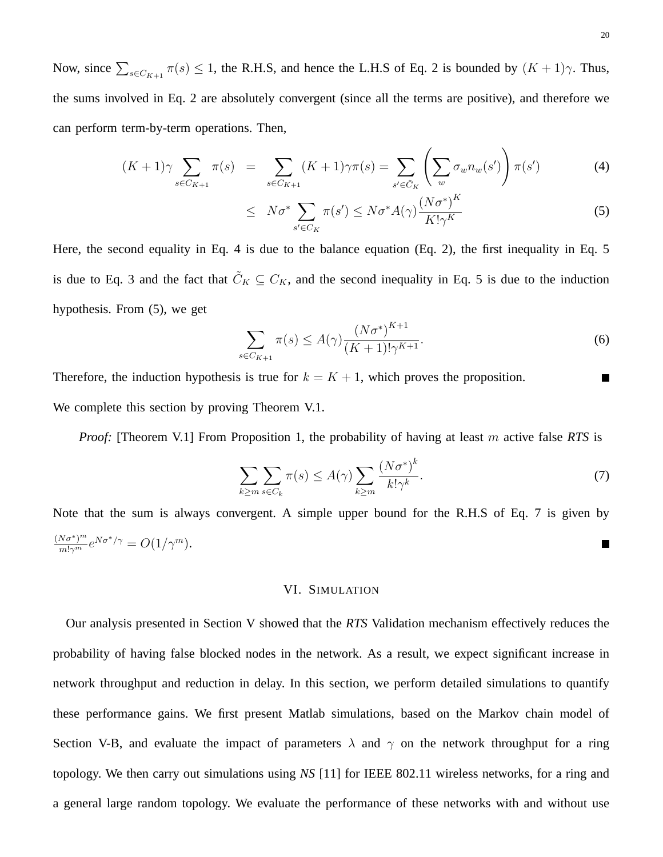Now, since  $\sum_{s \in C_{K+1}} \pi(s) \leq 1$ , the R.H.S, and hence the L.H.S of Eq. 2 is bounded by  $(K+1)\gamma$ . Thus, the sums involved in Eq. 2 are absolutely convergent (since all the terms are positive), and therefore we can perform term-by-term operations. Then,

$$
(K+1)\gamma \sum_{s \in C_{K+1}} \pi(s) = \sum_{s \in C_{K+1}} (K+1)\gamma \pi(s) = \sum_{s' \in \tilde{C}_K} \left(\sum_{w} \sigma_w n_w(s')\right) \pi(s') \tag{4}
$$

$$
\leq N\sigma^* \sum_{s' \in C_K} \pi(s') \leq N\sigma^* A(\gamma) \frac{(N\sigma^*)^K}{K!\gamma^K} \tag{5}
$$

Here, the second equality in Eq. 4 is due to the balance equation (Eq. 2), the first inequality in Eq. 5 is due to Eq. 3 and the fact that  $\tilde{C}_K \subseteq C_K$ , and the second inequality in Eq. 5 is due to the induction hypothesis. From (5), we get

$$
\sum_{s \in C_{K+1}} \pi(s) \le A(\gamma) \frac{(N\sigma^*)^{K+1}}{(K+1)! \gamma^{K+1}}.
$$
\n(6)

Therefore, the induction hypothesis is true for  $k = K + 1$ , which proves the proposition.  $\blacksquare$ We complete this section by proving Theorem V.1.

*Proof:* [Theorem V.1] From Proposition 1, the probability of having at least m active false *RTS* is

$$
\sum_{k\geq m}\sum_{s\in C_k}\pi(s)\leq A(\gamma)\sum_{k\geq m}\frac{(N\sigma^*)^k}{k!\gamma^k}.
$$
\n(7)

Note that the sum is always convergent. A simple upper bound for the R.H.S of Eq. 7 is given by  $\frac{(N\sigma^*)^m}{m!\gamma^m}e^{N\sigma^*/\gamma}=O(1/\gamma^m).$ ш

# VI. SIMULATION

Our analysis presented in Section V showed that the *RTS* Validation mechanism effectively reduces the probability of having false blocked nodes in the network. As a result, we expect significant increase in network throughput and reduction in delay. In this section, we perform detailed simulations to quantify these performance gains. We first present Matlab simulations, based on the Markov chain model of Section V-B, and evaluate the impact of parameters  $\lambda$  and  $\gamma$  on the network throughput for a ring topology. We then carry out simulations using *NS* [11] for IEEE 802.11 wireless networks, for a ring and a general large random topology. We evaluate the performance of these networks with and without use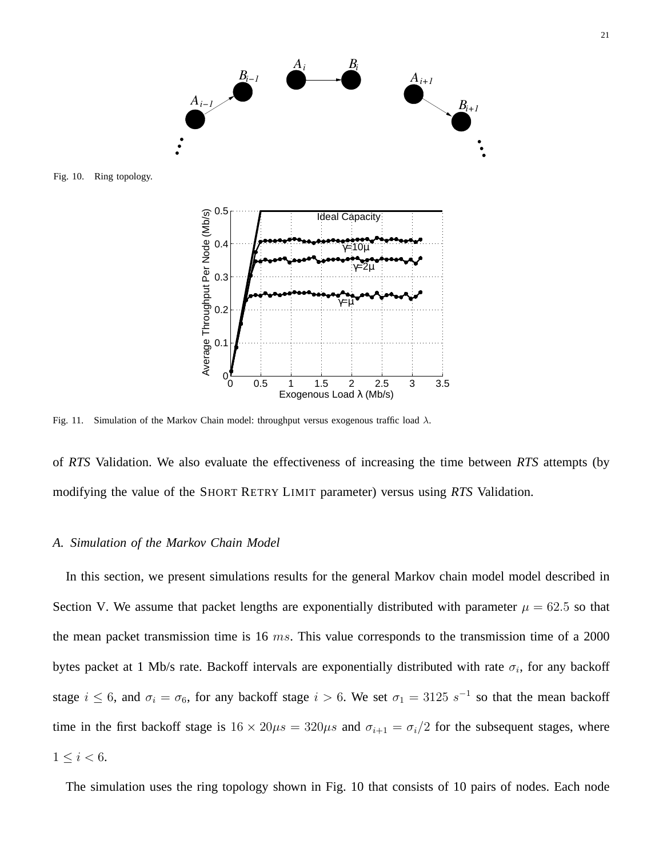![](_page_20_Figure_0.jpeg)

Fig. 10. Ring topology.

![](_page_20_Figure_2.jpeg)

Fig. 11. Simulation of the Markov Chain model: throughput versus exogenous traffic load  $\lambda$ .

of *RTS* Validation. We also evaluate the effectiveness of increasing the time between *RTS* attempts (by modifying the value of the SHORT RETRY LIMIT parameter) versus using *RTS* Validation.

### *A. Simulation of the Markov Chain Model*

In this section, we present simulations results for the general Markov chain model model described in Section V. We assume that packet lengths are exponentially distributed with parameter  $\mu = 62.5$  so that the mean packet transmission time is 16  $ms$ . This value corresponds to the transmission time of a 2000 bytes packet at 1 Mb/s rate. Backoff intervals are exponentially distributed with rate  $\sigma_i$ , for any backoff stage  $i \leq 6$ , and  $\sigma_i = \sigma_6$ , for any backoff stage  $i > 6$ . We set  $\sigma_1 = 3125 s^{-1}$  so that the mean backoff time in the first backoff stage is  $16 \times 20 \mu s = 320 \mu s$  and  $\sigma_{i+1} = \sigma_i/2$  for the subsequent stages, where  $1 \leq i < 6$ .

The simulation uses the ring topology shown in Fig. 10 that consists of 10 pairs of nodes. Each node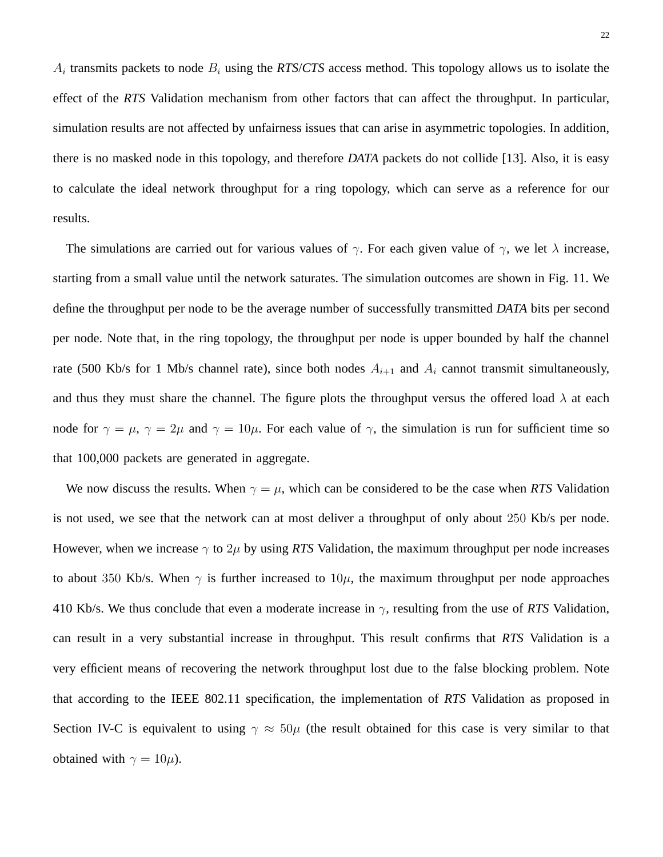$A_i$  transmits packets to node  $B_i$  using the *RTS/CTS* access method. This topology allows us to isolate the effect of the *RTS* Validation mechanism from other factors that can affect the throughput. In particular, simulation results are not affected by unfairness issues that can arise in asymmetric topologies. In addition, there is no masked node in this topology, and therefore *DATA* packets do not collide [13]. Also, it is easy to calculate the ideal network throughput for a ring topology, which can serve as a reference for our results.

The simulations are carried out for various values of  $\gamma$ . For each given value of  $\gamma$ , we let  $\lambda$  increase, starting from a small value until the network saturates. The simulation outcomes are shown in Fig. 11. We define the throughput per node to be the average number of successfully transmitted *DATA* bits per second per node. Note that, in the ring topology, the throughput per node is upper bounded by half the channel rate (500 Kb/s for 1 Mb/s channel rate), since both nodes  $A_{i+1}$  and  $A_i$  cannot transmit simultaneously, and thus they must share the channel. The figure plots the throughput versus the offered load  $\lambda$  at each node for  $\gamma = \mu$ ,  $\gamma = 2\mu$  and  $\gamma = 10\mu$ . For each value of  $\gamma$ , the simulation is run for sufficient time so that 100,000 packets are generated in aggregate.

We now discuss the results. When  $\gamma = \mu$ , which can be considered to be the case when *RTS* Validation is not used, we see that the network can at most deliver a throughput of only about 250 Kb/s per node. However, when we increase  $\gamma$  to  $2\mu$  by using *RTS* Validation, the maximum throughput per node increases to about 350 Kb/s. When  $\gamma$  is further increased to  $10\mu$ , the maximum throughput per node approaches 410 Kb/s. We thus conclude that even a moderate increase in γ, resulting from the use of *RTS* Validation, can result in a very substantial increase in throughput. This result confirms that *RTS* Validation is a very efficient means of recovering the network throughput lost due to the false blocking problem. Note that according to the IEEE 802.11 specification, the implementation of *RTS* Validation as proposed in Section IV-C is equivalent to using  $\gamma \approx 50\mu$  (the result obtained for this case is very similar to that obtained with  $\gamma = 10\mu$ ).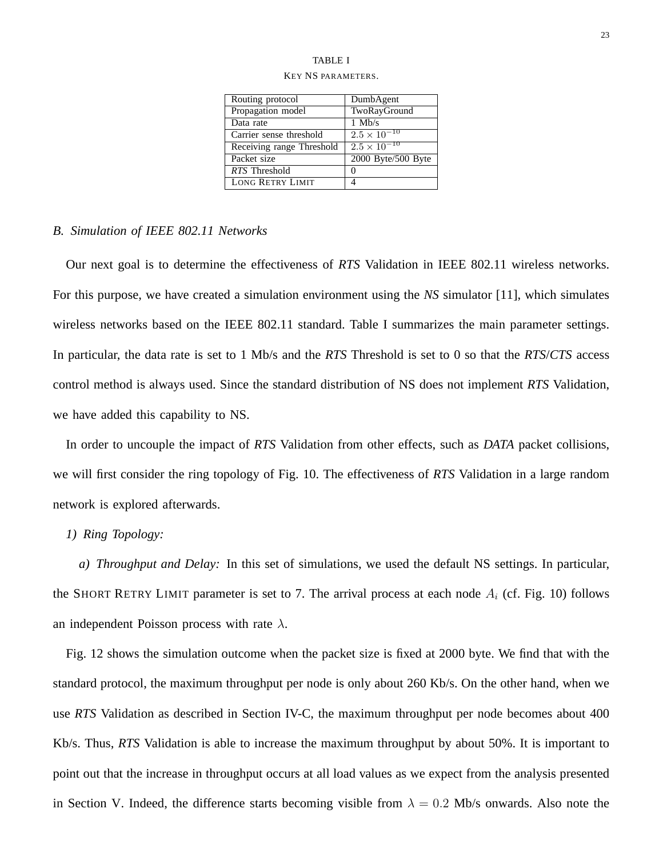# TABLE I

| Routing protocol          | DumbAgent             |
|---------------------------|-----------------------|
| Propagation model         | TwoRayGround          |
| Data rate                 | $1$ Mb/s              |
| Carrier sense threshold   | $2.5 \times 10^{-10}$ |
| Receiving range Threshold | $2.5 \times 10^{-10}$ |
| Packet size               | 2000 Byte/500 Byte    |
| RTS Threshold             | 0                     |
| <b>LONG RETRY LIMIT</b>   |                       |

# KEY NS PARAMETERS.

# *B. Simulation of IEEE 802.11 Networks*

Our next goal is to determine the effectiveness of *RTS* Validation in IEEE 802.11 wireless networks. For this purpose, we have created a simulation environment using the *NS* simulator [11], which simulates wireless networks based on the IEEE 802.11 standard. Table I summarizes the main parameter settings. In particular, the data rate is set to 1 Mb/s and the *RTS* Threshold is set to 0 so that the *RTS*/*CTS* access control method is always used. Since the standard distribution of NS does not implement *RTS* Validation, we have added this capability to NS.

In order to uncouple the impact of *RTS* Validation from other effects, such as *DATA* packet collisions, we will first consider the ring topology of Fig. 10. The effectiveness of *RTS* Validation in a large random network is explored afterwards.

# *1) Ring Topology:*

*a) Throughput and Delay:* In this set of simulations, we used the default NS settings. In particular, the SHORT RETRY LIMIT parameter is set to 7. The arrival process at each node  $A_i$  (cf. Fig. 10) follows an independent Poisson process with rate  $\lambda$ .

Fig. 12 shows the simulation outcome when the packet size is fixed at 2000 byte. We find that with the standard protocol, the maximum throughput per node is only about 260 Kb/s. On the other hand, when we use *RTS* Validation as described in Section IV-C, the maximum throughput per node becomes about 400 Kb/s. Thus, *RTS* Validation is able to increase the maximum throughput by about 50%. It is important to point out that the increase in throughput occurs at all load values as we expect from the analysis presented in Section V. Indeed, the difference starts becoming visible from  $\lambda = 0.2$  Mb/s onwards. Also note the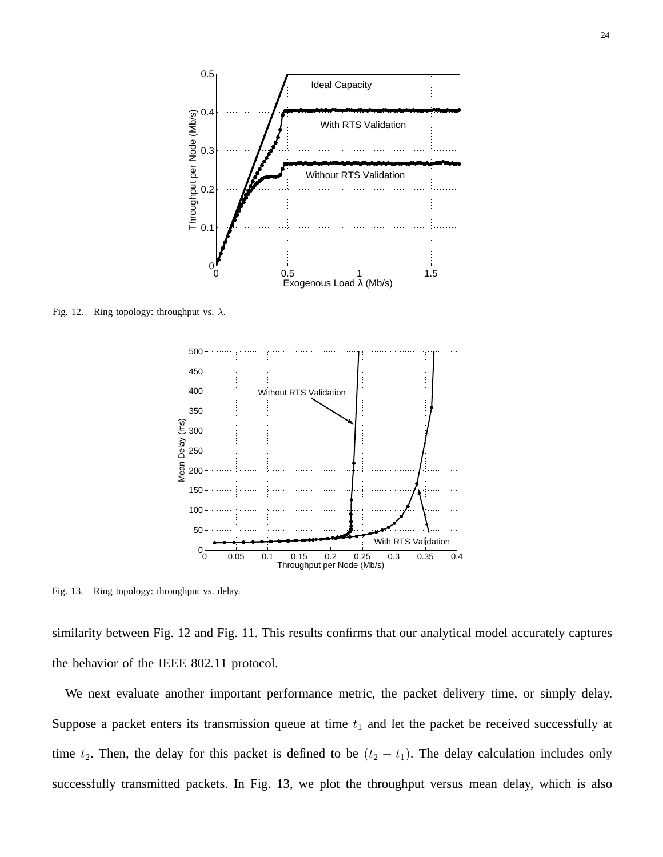![](_page_23_Figure_0.jpeg)

Fig. 12. Ring topology: throughput vs.  $\lambda$ .

![](_page_23_Figure_2.jpeg)

Fig. 13. Ring topology: throughput vs. delay.

similarity between Fig. 12 and Fig. 11. This results confirms that our analytical model accurately captures the behavior of the IEEE 802.11 protocol.

We next evaluate another important performance metric, the packet delivery time, or simply delay. Suppose a packet enters its transmission queue at time  $t_1$  and let the packet be received successfully at time  $t_2$ . Then, the delay for this packet is defined to be  $(t_2 - t_1)$ . The delay calculation includes only successfully transmitted packets. In Fig. 13, we plot the throughput versus mean delay, which is also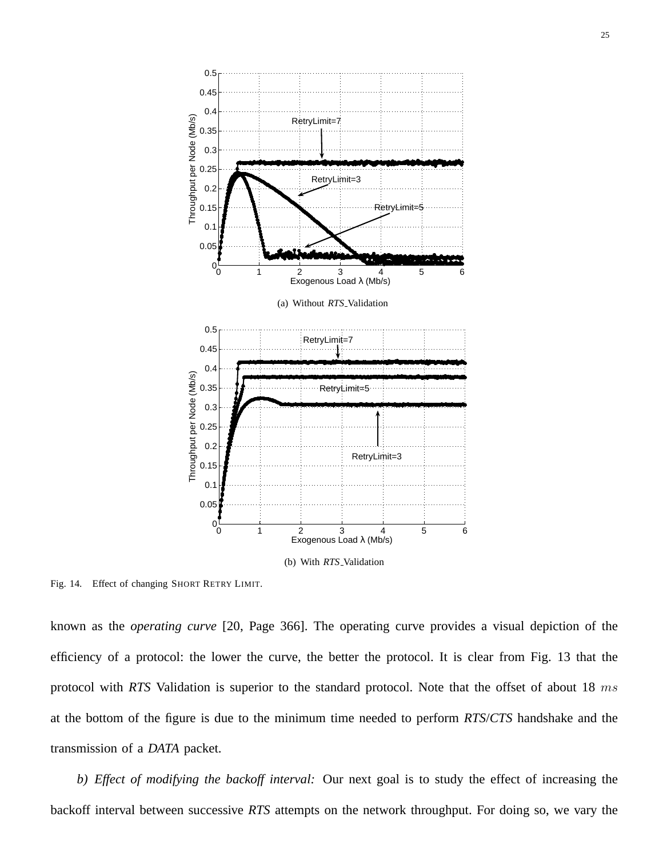![](_page_24_Figure_0.jpeg)

Fig. 14. Effect of changing SHORT RETRY LIMIT.

known as the *operating curve* [20, Page 366]. The operating curve provides a visual depiction of the efficiency of a protocol: the lower the curve, the better the protocol. It is clear from Fig. 13 that the protocol with *RTS* Validation is superior to the standard protocol. Note that the offset of about 18 ms at the bottom of the figure is due to the minimum time needed to perform *RTS*/*CTS* handshake and the transmission of a *DATA* packet.

*b) Effect of modifying the backoff interval:* Our next goal is to study the effect of increasing the backoff interval between successive *RTS* attempts on the network throughput. For doing so, we vary the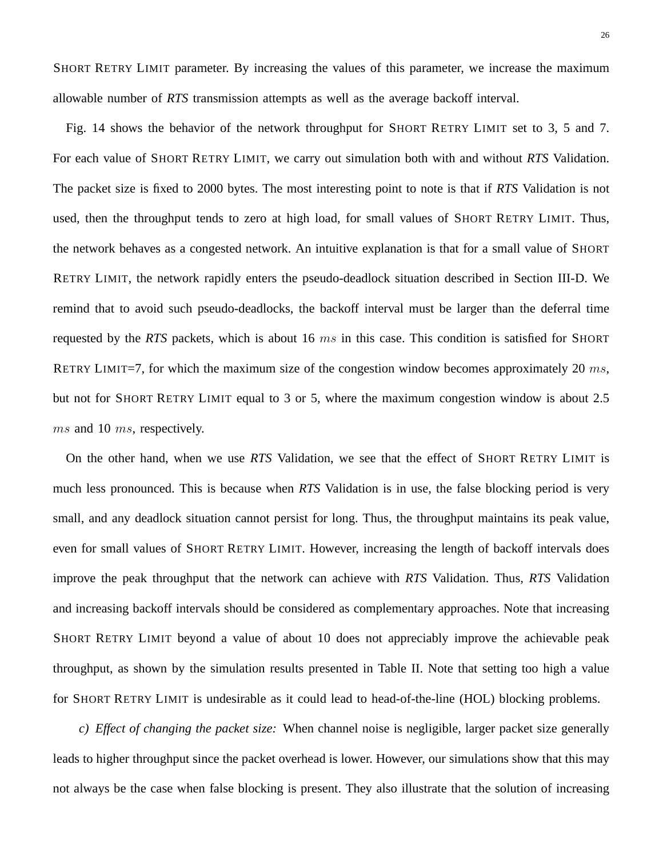SHORT RETRY LIMIT parameter. By increasing the values of this parameter, we increase the maximum allowable number of *RTS* transmission attempts as well as the average backoff interval.

Fig. 14 shows the behavior of the network throughput for SHORT RETRY LIMIT set to 3, 5 and 7. For each value of SHORT RETRY LIMIT, we carry out simulation both with and without *RTS* Validation. The packet size is fixed to 2000 bytes. The most interesting point to note is that if *RTS* Validation is not used, then the throughput tends to zero at high load, for small values of SHORT RETRY LIMIT. Thus, the network behaves as a congested network. An intuitive explanation is that for a small value of SHORT RETRY LIMIT, the network rapidly enters the pseudo-deadlock situation described in Section III-D. We remind that to avoid such pseudo-deadlocks, the backoff interval must be larger than the deferral time requested by the *RTS* packets, which is about 16 ms in this case. This condition is satisfied for SHORT RETRY LIMIT=7, for which the maximum size of the congestion window becomes approximately 20  $ms$ , but not for SHORT RETRY LIMIT equal to 3 or 5, where the maximum congestion window is about 2.5 ms and 10 ms, respectively.

On the other hand, when we use *RTS* Validation, we see that the effect of SHORT RETRY LIMIT is much less pronounced. This is because when *RTS* Validation is in use, the false blocking period is very small, and any deadlock situation cannot persist for long. Thus, the throughput maintains its peak value, even for small values of SHORT RETRY LIMIT. However, increasing the length of backoff intervals does improve the peak throughput that the network can achieve with *RTS* Validation. Thus, *RTS* Validation and increasing backoff intervals should be considered as complementary approaches. Note that increasing SHORT RETRY LIMIT beyond a value of about 10 does not appreciably improve the achievable peak throughput, as shown by the simulation results presented in Table II. Note that setting too high a value for SHORT RETRY LIMIT is undesirable as it could lead to head-of-the-line (HOL) blocking problems.

*c) Effect of changing the packet size:* When channel noise is negligible, larger packet size generally leads to higher throughput since the packet overhead is lower. However, our simulations show that this may not always be the case when false blocking is present. They also illustrate that the solution of increasing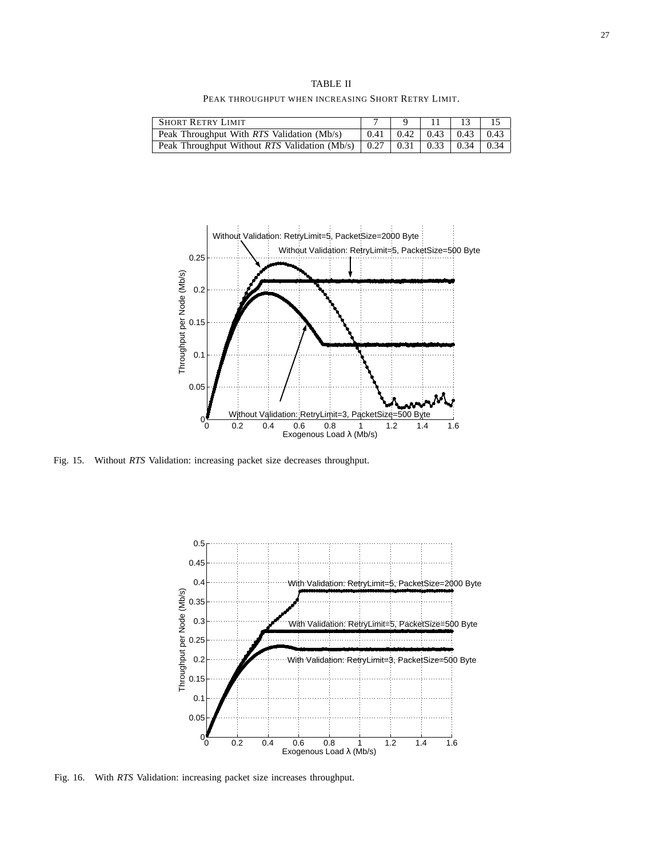TABLE II PEAK THROUGHPUT WHEN INCREASING SHORT RETRY LIMIT.

| <b>SHORT RETRY LIMIT</b>                   |  |                                            |  |
|--------------------------------------------|--|--------------------------------------------|--|
| Peak Throughput With RTS Validation (Mb/s) |  | $0.41 \pm 0.42 \pm 0.43 \pm 0.43 \pm 0.43$ |  |
|                                            |  |                                            |  |

![](_page_26_Figure_3.jpeg)

Fig. 15. Without *RTS* Validation: increasing packet size decreases throughput.

![](_page_26_Figure_5.jpeg)

Fig. 16. With *RTS* Validation: increasing packet size increases throughput.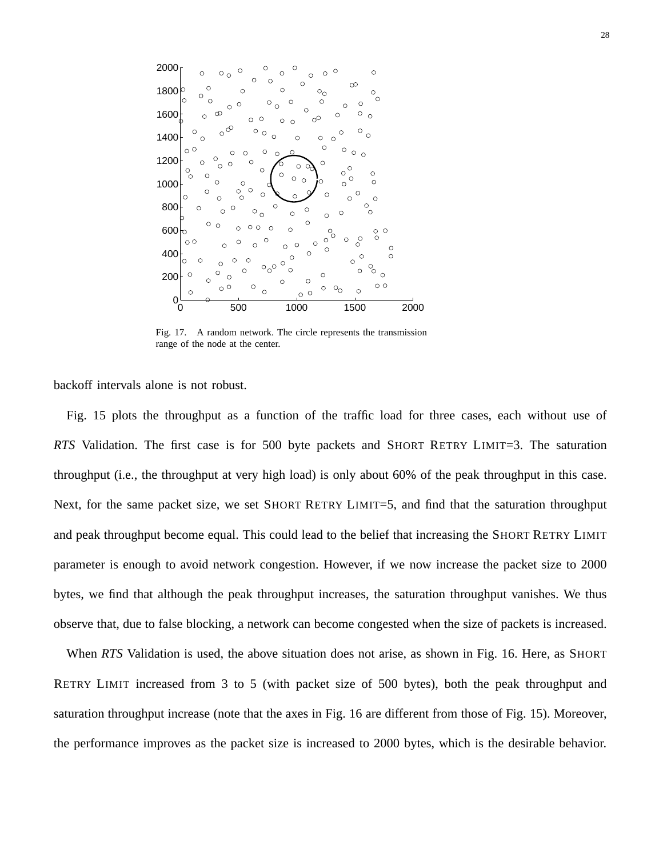![](_page_27_Figure_0.jpeg)

Fig. 17. A random network. The circle represents the transmission range of the node at the center.

backoff intervals alone is not robust.

Fig. 15 plots the throughput as a function of the traffic load for three cases, each without use of *RTS* Validation. The first case is for 500 byte packets and SHORT RETRY LIMIT=3. The saturation throughput (i.e., the throughput at very high load) is only about 60% of the peak throughput in this case. Next, for the same packet size, we set SHORT RETRY LIMIT=5, and find that the saturation throughput and peak throughput become equal. This could lead to the belief that increasing the SHORT RETRY LIMIT parameter is enough to avoid network congestion. However, if we now increase the packet size to 2000 bytes, we find that although the peak throughput increases, the saturation throughput vanishes. We thus observe that, due to false blocking, a network can become congested when the size of packets is increased.

When *RTS* Validation is used, the above situation does not arise, as shown in Fig. 16. Here, as SHORT RETRY LIMIT increased from 3 to 5 (with packet size of 500 bytes), both the peak throughput and saturation throughput increase (note that the axes in Fig. 16 are different from those of Fig. 15). Moreover, the performance improves as the packet size is increased to 2000 bytes, which is the desirable behavior.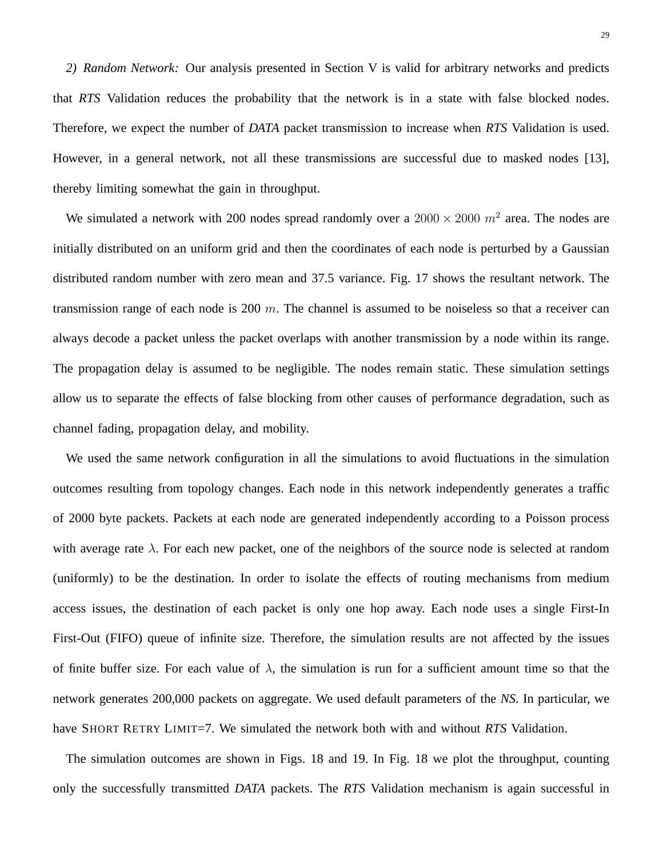*2) Random Network:* Our analysis presented in Section V is valid for arbitrary networks and predicts that *RTS* Validation reduces the probability that the network is in a state with false blocked nodes. Therefore, we expect the number of *DATA* packet transmission to increase when *RTS* Validation is used. However, in a general network, not all these transmissions are successful due to masked nodes [13], thereby limiting somewhat the gain in throughput.

We simulated a network with 200 nodes spread randomly over a  $2000 \times 2000$   $m^2$  area. The nodes are initially distributed on an uniform grid and then the coordinates of each node is perturbed by a Gaussian distributed random number with zero mean and 37.5 variance. Fig. 17 shows the resultant network. The transmission range of each node is 200  $m$ . The channel is assumed to be noiseless so that a receiver can always decode a packet unless the packet overlaps with another transmission by a node within its range. The propagation delay is assumed to be negligible. The nodes remain static. These simulation settings allow us to separate the effects of false blocking from other causes of performance degradation, such as channel fading, propagation delay, and mobility.

We used the same network configuration in all the simulations to avoid fluctuations in the simulation outcomes resulting from topology changes. Each node in this network independently generates a traffic of 2000 byte packets. Packets at each node are generated independently according to a Poisson process with average rate  $\lambda$ . For each new packet, one of the neighbors of the source node is selected at random (uniformly) to be the destination. In order to isolate the effects of routing mechanisms from medium access issues, the destination of each packet is only one hop away. Each node uses a single First-In First-Out (FIFO) queue of infinite size. Therefore, the simulation results are not affected by the issues of finite buffer size. For each value of  $\lambda$ , the simulation is run for a sufficient amount time so that the network generates 200,000 packets on aggregate. We used default parameters of the *NS*. In particular, we have SHORT RETRY LIMIT=7. We simulated the network both with and without *RTS* Validation.

The simulation outcomes are shown in Figs. 18 and 19. In Fig. 18 we plot the throughput, counting only the successfully transmitted *DATA* packets. The *RTS* Validation mechanism is again successful in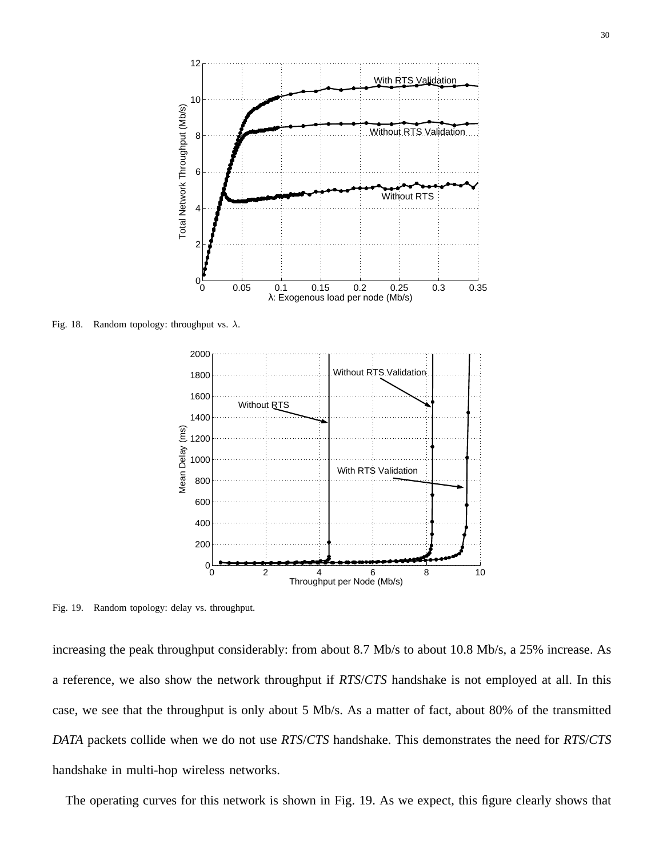![](_page_29_Figure_0.jpeg)

Fig. 18. Random topology: throughput vs.  $\lambda$ .

![](_page_29_Figure_2.jpeg)

Fig. 19. Random topology: delay vs. throughput.

increasing the peak throughput considerably: from about 8.7 Mb/s to about 10.8 Mb/s, a 25% increase. As a reference, we also show the network throughput if *RTS*/*CTS* handshake is not employed at all. In this case, we see that the throughput is only about 5 Mb/s. As a matter of fact, about 80% of the transmitted *DATA* packets collide when we do not use *RTS*/*CTS* handshake. This demonstrates the need for *RTS*/*CTS* handshake in multi-hop wireless networks.

The operating curves for this network is shown in Fig. 19. As we expect, this figure clearly shows that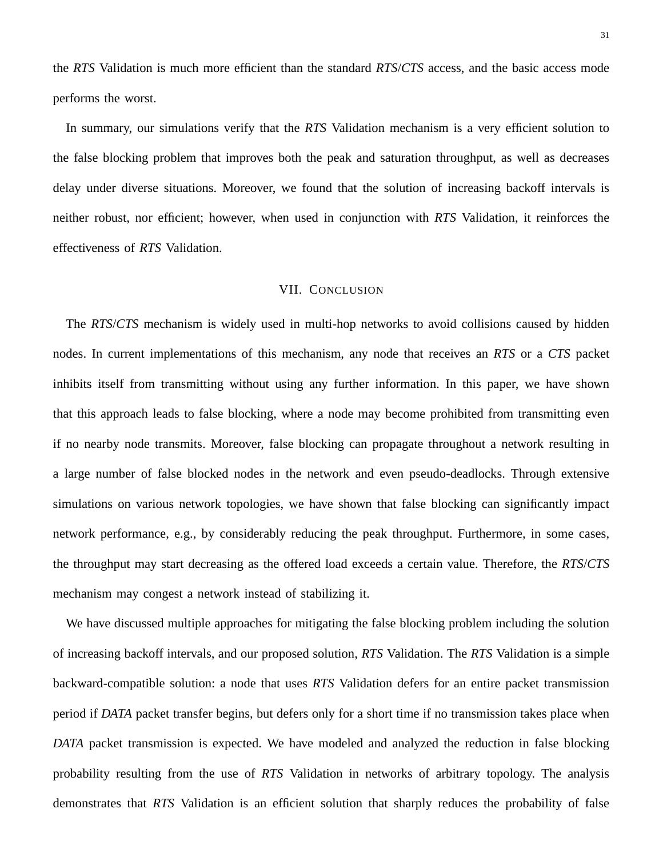the *RTS* Validation is much more efficient than the standard *RTS*/*CTS* access, and the basic access mode performs the worst.

In summary, our simulations verify that the *RTS* Validation mechanism is a very efficient solution to the false blocking problem that improves both the peak and saturation throughput, as well as decreases delay under diverse situations. Moreover, we found that the solution of increasing backoff intervals is neither robust, nor efficient; however, when used in conjunction with *RTS* Validation, it reinforces the effectiveness of *RTS* Validation.

#### VII. CONCLUSION

The *RTS*/*CTS* mechanism is widely used in multi-hop networks to avoid collisions caused by hidden nodes. In current implementations of this mechanism, any node that receives an *RTS* or a *CTS* packet inhibits itself from transmitting without using any further information. In this paper, we have shown that this approach leads to false blocking, where a node may become prohibited from transmitting even if no nearby node transmits. Moreover, false blocking can propagate throughout a network resulting in a large number of false blocked nodes in the network and even pseudo-deadlocks. Through extensive simulations on various network topologies, we have shown that false blocking can significantly impact network performance, e.g., by considerably reducing the peak throughput. Furthermore, in some cases, the throughput may start decreasing as the offered load exceeds a certain value. Therefore, the *RTS*/*CTS* mechanism may congest a network instead of stabilizing it.

We have discussed multiple approaches for mitigating the false blocking problem including the solution of increasing backoff intervals, and our proposed solution, *RTS* Validation. The *RTS* Validation is a simple backward-compatible solution: a node that uses *RTS* Validation defers for an entire packet transmission period if *DATA* packet transfer begins, but defers only for a short time if no transmission takes place when *DATA* packet transmission is expected. We have modeled and analyzed the reduction in false blocking probability resulting from the use of *RTS* Validation in networks of arbitrary topology. The analysis demonstrates that *RTS* Validation is an efficient solution that sharply reduces the probability of false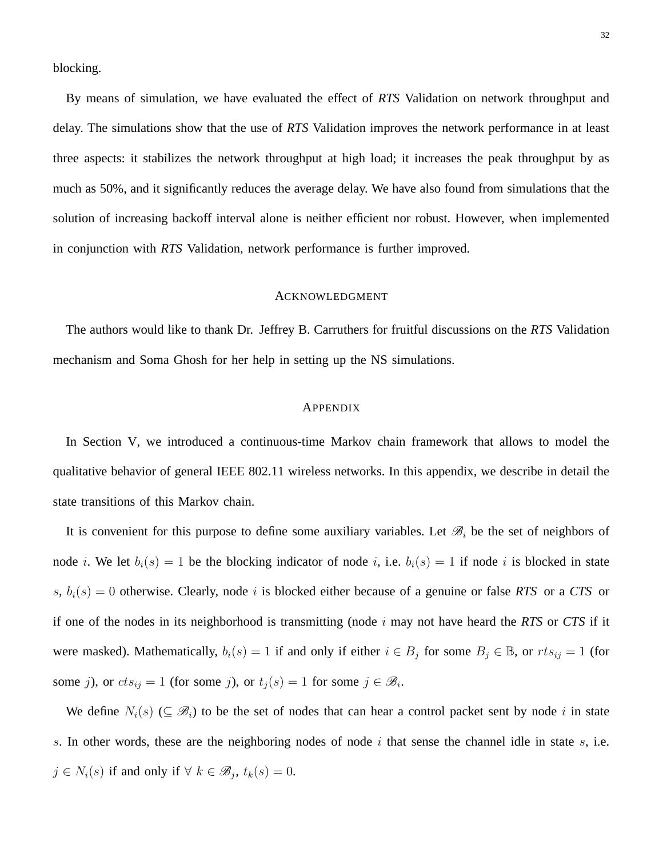blocking.

By means of simulation, we have evaluated the effect of *RTS* Validation on network throughput and delay. The simulations show that the use of *RTS* Validation improves the network performance in at least three aspects: it stabilizes the network throughput at high load; it increases the peak throughput by as much as 50%, and it significantly reduces the average delay. We have also found from simulations that the solution of increasing backoff interval alone is neither efficient nor robust. However, when implemented in conjunction with *RTS* Validation, network performance is further improved.

#### ACKNOWLEDGMENT

The authors would like to thank Dr. Jeffrey B. Carruthers for fruitful discussions on the *RTS* Validation mechanism and Soma Ghosh for her help in setting up the NS simulations.

#### **APPENDIX**

In Section V, we introduced a continuous-time Markov chain framework that allows to model the qualitative behavior of general IEEE 802.11 wireless networks. In this appendix, we describe in detail the state transitions of this Markov chain.

It is convenient for this purpose to define some auxiliary variables. Let  $\mathcal{B}_i$  be the set of neighbors of node *i*. We let  $b_i(s) = 1$  be the blocking indicator of node *i*, i.e.  $b_i(s) = 1$  if node *i* is blocked in state  $s, b_i(s) = 0$  otherwise. Clearly, node i is blocked either because of a genuine or false *RTS* or a *CTS* or if one of the nodes in its neighborhood is transmitting (node i may not have heard the *RTS* or *CTS* if it were masked). Mathematically,  $b_i(s) = 1$  if and only if either  $i \in B_j$  for some  $B_j \in \mathbb{B}$ , or  $rts_{ij} = 1$  (for some j), or  $cts_{ij} = 1$  (for some j), or  $t_j(s) = 1$  for some  $j \in \mathcal{B}_i$ .

We define  $N_i(s)$  ( $\subseteq \mathcal{B}_i$ ) to be the set of nodes that can hear a control packet sent by node i in state s. In other words, these are the neighboring nodes of node  $i$  that sense the channel idle in state  $s$ , i.e.  $j \in N_i(s)$  if and only if  $\forall k \in \mathcal{B}_j$ ,  $t_k(s) = 0$ .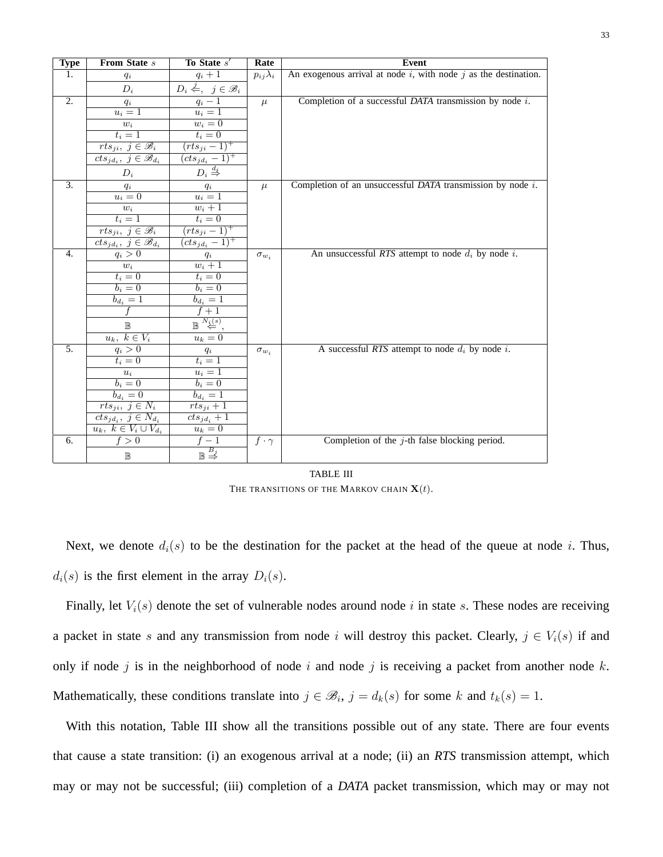| <b>Type</b>      | From State s                                                 | To State s'                                            | Rate              | <b>Event</b>                                                         |
|------------------|--------------------------------------------------------------|--------------------------------------------------------|-------------------|----------------------------------------------------------------------|
| 1.               | $q_i$                                                        | $q_i+1$                                                | $p_{ij}\lambda_i$ | An exogenous arrival at node $i$ , with node $j$ as the destination. |
|                  | $D_i$                                                        | $D_i \stackrel{j}{\Leftarrow}$ , $j \in \mathscr{B}_i$ |                   |                                                                      |
| $\overline{2}$ . | $q_i$                                                        | $q_i-\overline{1}$                                     | $\mu$             | Completion of a successful $DATA$ transmission by node $i$ .         |
|                  | $u_i=1$                                                      | $u_i=1$                                                |                   |                                                                      |
|                  | $w_i$                                                        | $w_i=0$                                                |                   |                                                                      |
|                  | $t_i=1$                                                      | $t_i=0$                                                |                   |                                                                      |
|                  | $rts_{ji}, \ j \in \mathscr{B}_i$                            | $(rts_{ji}-1)^+$                                       |                   |                                                                      |
|                  | $cts_{jd_i},\ j\in\mathscr{B}_{d_i}$                         | $(cts_{jd_i}-1)^+$                                     |                   |                                                                      |
|                  | $D_i$                                                        | $D_i \stackrel{d_i}{\Rightarrow}$                      |                   |                                                                      |
| $\overline{3}$ . | $q_i$                                                        | $\frac{q_i}{u_i \equiv 1}$                             | $\mu$             | Completion of an unsuccessful $DATA$ transmission by node $i$ .      |
|                  | $u_i=0$                                                      |                                                        |                   |                                                                      |
|                  | $w_i$                                                        | $w_i+1$                                                |                   |                                                                      |
|                  | $t_i=1$                                                      | $t_i=0$                                                |                   |                                                                      |
|                  | $rts_{ji}, \ j \in \mathscr{B}_i$                            | $(rts_{ji}-1)^{+}$                                     |                   |                                                                      |
|                  | $cts_{jd_i},\ j\in\mathscr{B}_{d_i}$                         | $(cts_{jd_i}-1)^+$                                     |                   |                                                                      |
| $\overline{4}$ . | $q_i > 0$                                                    | $q_i$                                                  | $\sigma_{w_i}$    | An unsuccessful RTS attempt to node $d_i$ by node i.                 |
|                  | $\boldsymbol{w}_i$                                           | $w_i+1$                                                |                   |                                                                      |
|                  | $t_i=0$                                                      | $t_i=0$                                                |                   |                                                                      |
|                  | $b_i=0$                                                      | $b_i=0$                                                |                   |                                                                      |
|                  | $b_{d_i} = 1$                                                | $\overline{b_{d_i}=1}$<br>$\overline{f+1}$             |                   |                                                                      |
|                  |                                                              |                                                        |                   |                                                                      |
|                  | $\mathbb B$                                                  | $\mathbb{B} \overset{N_i(s)}{\Leftarrow}$              |                   |                                                                      |
|                  | $u_k, k \in V_i$                                             | $u_k=0$                                                |                   |                                                                      |
| 5.               | $q_i > 0$                                                    | $\frac{q_i}{t_i=1}$                                    | $\sigma_{w_i}$    | A successful RTS attempt to node $d_i$ by node i.                    |
|                  | $t_i=0$                                                      |                                                        |                   |                                                                      |
|                  | $\boldsymbol{u}_i$                                           | $u_i=1$                                                |                   |                                                                      |
|                  | $b_i=0$                                                      | $b_i=0$                                                |                   |                                                                      |
|                  | $\overline{b_{d_i}}=0$                                       | $\overline{b_{d_i}}=1$                                 |                   |                                                                      |
|                  | $rts_{ji}, \ j \in N_i$                                      | $rts_{ji} + 1$                                         |                   |                                                                      |
|                  | $cts_{jd_i},\ j\in N_{d_i}$<br>$u_k, k \in V_i \cup V_{d_i}$ | $cts_{jd_i} + 1$<br>$u_k=0$                            |                   |                                                                      |
| 6.               | f > 0                                                        | $f-1$                                                  | $f\cdot\gamma$    | Completion of the $j$ -th false blocking period.                     |
|                  | $\mathbb B$                                                  | $\mathbb{B}\overset{B_j}{\Rightarrow}$                 |                   |                                                                      |
|                  |                                                              |                                                        |                   |                                                                      |

TABLE III THE TRANSITIONS OF THE MARKOV CHAIN  $\mathbf{X}(t)$ .

Next, we denote  $d_i(s)$  to be the destination for the packet at the head of the queue at node i. Thus,  $d_i(s)$  is the first element in the array  $D_i(s)$ .

Finally, let  $V_i(s)$  denote the set of vulnerable nodes around node i in state s. These nodes are receiving a packet in state s and any transmission from node i will destroy this packet. Clearly,  $j \in V_i(s)$  if and only if node j is in the neighborhood of node i and node j is receiving a packet from another node  $k$ . Mathematically, these conditions translate into  $j \in \mathcal{B}_i$ ,  $j = d_k(s)$  for some k and  $t_k(s) = 1$ .

With this notation, Table III show all the transitions possible out of any state. There are four events that cause a state transition: (i) an exogenous arrival at a node; (ii) an *RTS* transmission attempt, which may or may not be successful; (iii) completion of a *DATA* packet transmission, which may or may not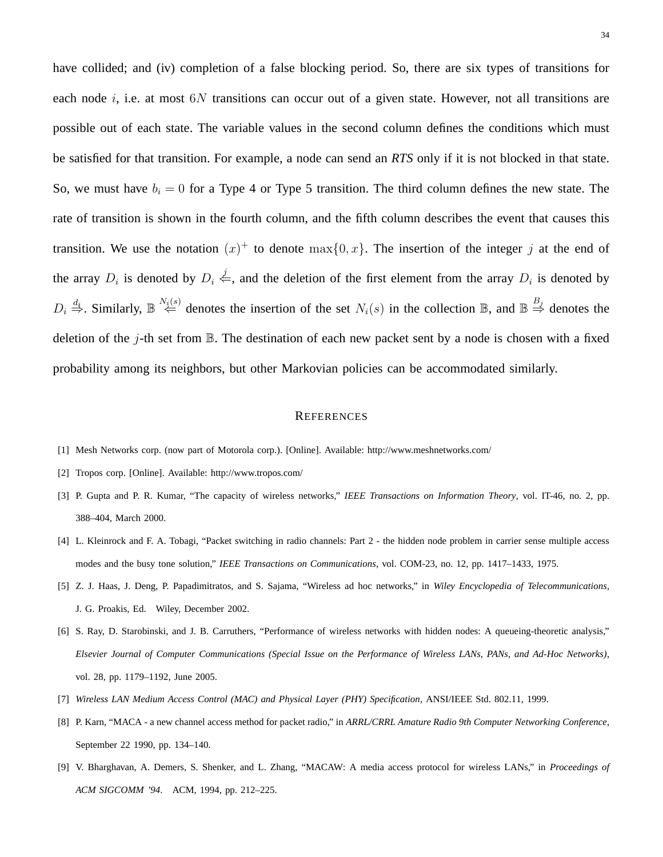have collided; and (iv) completion of a false blocking period. So, there are six types of transitions for each node i, i.e. at most  $6N$  transitions can occur out of a given state. However, not all transitions are possible out of each state. The variable values in the second column defines the conditions which must be satisfied for that transition. For example, a node can send an *RTS* only if it is not blocked in that state. So, we must have  $b_i = 0$  for a Type 4 or Type 5 transition. The third column defines the new state. The rate of transition is shown in the fourth column, and the fifth column describes the event that causes this transition. We use the notation  $(x)^+$  to denote  $\max\{0, x\}$ . The insertion of the integer j at the end of the array  $D_i$  is denoted by  $D_i \stackrel{j}{\leftarrow}$ , and the deletion of the first element from the array  $D_i$  is denoted by  $D_i \stackrel{d_i}{\Rightarrow}$ . Similarly,  $\mathbb{B} \stackrel{N_i(s)}{\Leftarrow}$  denotes the insertion of the set  $N_i(s)$  in the collection  $\mathbb{B}$ , and  $\mathbb{B} \stackrel{B_j}{\Rightarrow}$  denotes the deletion of the  $j$ -th set from  $\mathbb B$ . The destination of each new packet sent by a node is chosen with a fixed probability among its neighbors, but other Markovian policies can be accommodated similarly.

#### **REFERENCES**

- [1] Mesh Networks corp. (now part of Motorola corp.). [Online]. Available: http://www.meshnetworks.com/
- [2] Tropos corp. [Online]. Available: http://www.tropos.com/
- [3] P. Gupta and P. R. Kumar, "The capacity of wireless networks," *IEEE Transactions on Information Theory*, vol. IT-46, no. 2, pp. 388–404, March 2000.
- [4] L. Kleinrock and F. A. Tobagi, "Packet switching in radio channels: Part 2 the hidden node problem in carrier sense multiple access modes and the busy tone solution," *IEEE Transactions on Communications*, vol. COM-23, no. 12, pp. 1417–1433, 1975.
- [5] Z. J. Haas, J. Deng, P. Papadimitratos, and S. Sajama, "Wireless ad hoc networks," in *Wiley Encyclopedia of Telecommunications*, J. G. Proakis, Ed. Wiley, December 2002.
- [6] S. Ray, D. Starobinski, and J. B. Carruthers, "Performance of wireless networks with hidden nodes: A queueing-theoretic analysis," *Elsevier Journal of Computer Communications (Special Issue on the Performance of Wireless LANs, PANs, and Ad-Hoc Networks)*, vol. 28, pp. 1179–1192, June 2005.
- [7] *Wireless LAN Medium Access Control (MAC) and Physical Layer (PHY) Specification*, ANSI/IEEE Std. 802.11, 1999.
- [8] P. Karn, "MACA a new channel access method for packet radio," in *ARRL/CRRL Amature Radio 9th Computer Networking Conference*, September 22 1990, pp. 134–140.
- [9] V. Bharghavan, A. Demers, S. Shenker, and L. Zhang, "MACAW: A media access protocol for wireless LANs," in *Proceedings of ACM SIGCOMM '94*. ACM, 1994, pp. 212–225.